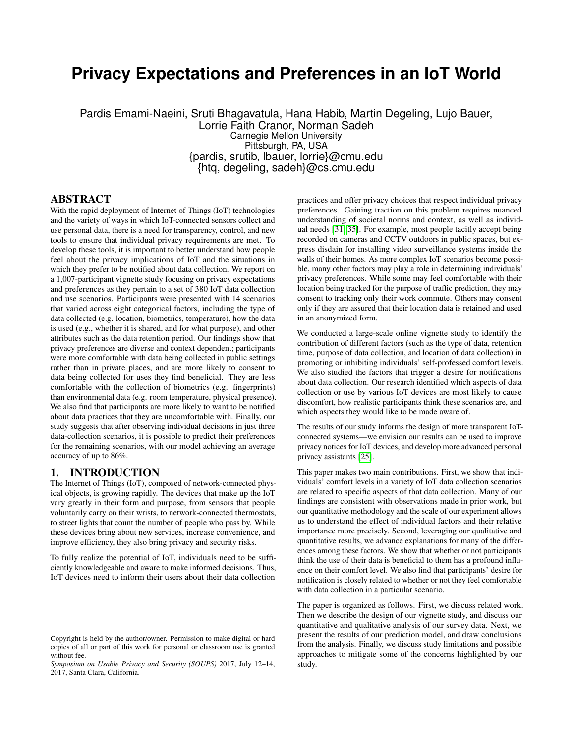# **Privacy Expectations and Preferences in an IoT World**

Pardis Emami-Naeini, Sruti Bhagavatula, Hana Habib, Martin Degeling, Lujo Bauer, Lorrie Faith Cranor, Norman Sadeh Carnegie Mellon University Pittsburgh, PA, USA {pardis, srutib, lbauer, lorrie}@cmu.edu {htq, degeling, sadeh}@cs.cmu.edu

### ABSTRACT

With the rapid deployment of Internet of Things (IoT) technologies and the variety of ways in which IoT-connected sensors collect and use personal data, there is a need for transparency, control, and new tools to ensure that individual privacy requirements are met. To develop these tools, it is important to better understand how people feel about the privacy implications of IoT and the situations in which they prefer to be notified about data collection. We report on a 1,007-participant vignette study focusing on privacy expectations and preferences as they pertain to a set of 380 IoT data collection and use scenarios. Participants were presented with 14 scenarios that varied across eight categorical factors, including the type of data collected (e.g. location, biometrics, temperature), how the data is used (e.g., whether it is shared, and for what purpose), and other attributes such as the data retention period. Our findings show that privacy preferences are diverse and context dependent; participants were more comfortable with data being collected in public settings rather than in private places, and are more likely to consent to data being collected for uses they find beneficial. They are less comfortable with the collection of biometrics (e.g. fingerprints) than environmental data (e.g. room temperature, physical presence). We also find that participants are more likely to want to be notified about data practices that they are uncomfortable with. Finally, our study suggests that after observing individual decisions in just three data-collection scenarios, it is possible to predict their preferences for the remaining scenarios, with our model achieving an average accuracy of up to 86%.

# 1. INTRODUCTION

The Internet of Things (IoT), composed of network-connected physical objects, is growing rapidly. The devices that make up the IoT vary greatly in their form and purpose, from sensors that people voluntarily carry on their wrists, to network-connected thermostats, to street lights that count the number of people who pass by. While these devices bring about new services, increase convenience, and improve efficiency, they also bring privacy and security risks.

To fully realize the potential of IoT, individuals need to be sufficiently knowledgeable and aware to make informed decisions. Thus, IoT devices need to inform their users about their data collection practices and offer privacy choices that respect individual privacy preferences. Gaining traction on this problem requires nuanced understanding of societal norms and context, as well as individual needs [\[31,](#page-12-0) [35\]](#page-13-0). For example, most people tacitly accept being recorded on cameras and CCTV outdoors in public spaces, but express disdain for installing video surveillance systems inside the walls of their homes. As more complex IoT scenarios become possible, many other factors may play a role in determining individuals' privacy preferences. While some may feel comfortable with their location being tracked for the purpose of traffic prediction, they may consent to tracking only their work commute. Others may consent only if they are assured that their location data is retained and used in an anonymized form.

We conducted a large-scale online vignette study to identify the contribution of different factors (such as the type of data, retention time, purpose of data collection, and location of data collection) in promoting or inhibiting individuals' self-professed comfort levels. We also studied the factors that trigger a desire for notifications about data collection. Our research identified which aspects of data collection or use by various IoT devices are most likely to cause discomfort, how realistic participants think these scenarios are, and which aspects they would like to be made aware of.

The results of our study informs the design of more transparent IoTconnected systems—we envision our results can be used to improve privacy notices for IoT devices, and develop more advanced personal privacy assistants [\[25\]](#page-12-1).

This paper makes two main contributions. First, we show that individuals' comfort levels in a variety of IoT data collection scenarios are related to specific aspects of that data collection. Many of our findings are consistent with observations made in prior work, but our quantitative methodology and the scale of our experiment allows us to understand the effect of individual factors and their relative importance more precisely. Second, leveraging our qualitative and quantitative results, we advance explanations for many of the differences among these factors. We show that whether or not participants think the use of their data is beneficial to them has a profound influence on their comfort level. We also find that participants' desire for notification is closely related to whether or not they feel comfortable with data collection in a particular scenario.

The paper is organized as follows. First, we discuss related work. Then we describe the design of our vignette study, and discuss our quantitative and qualitative analysis of our survey data. Next, we present the results of our prediction model, and draw conclusions from the analysis. Finally, we discuss study limitations and possible approaches to mitigate some of the concerns highlighted by our study.

Copyright is held by the author/owner. Permission to make digital or hard copies of all or part of this work for personal or classroom use is granted without fee.

*Symposium on Usable Privacy and Security (SOUPS)* 2017, July 12–14, 2017, Santa Clara, California.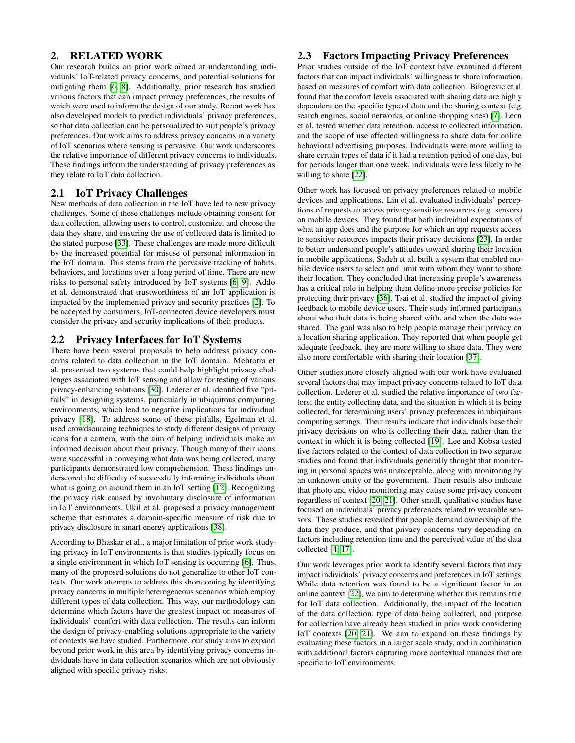# 2. RELATED WORK

Our research builds on prior work aimed at understanding individuals' IoT-related privacy concerns, and potential solutions for mitigating them [\[6,](#page-11-0) [8\]](#page-12-2). Additionally, prior research has studied various factors that can impact privacy preferences, the results of which were used to inform the design of our study. Recent work has also developed models to predict individuals' privacy preferences, so that data collection can be personalized to suit people's privacy preferences. Our work aims to address privacy concerns in a variety of IoT scenarios where sensing is pervasive. Our work underscores the relative importance of different privacy concerns to individuals. These findings inform the understanding of privacy preferences as they relate to IoT data collection.

# 2.1 IoT Privacy Challenges

New methods of data collection in the IoT have led to new privacy challenges. Some of these challenges include obtaining consent for data collection, allowing users to control, customize, and choose the data they share, and ensuring the use of collected data is limited to the stated purpose [\[33\]](#page-12-3). These challenges are made more difficult by the increased potential for misuse of personal information in the IoT domain. This stems from the pervasive tracking of habits, behaviors, and locations over a long period of time. There are new risks to personal safety introduced by IoT systems [\[6,](#page-11-0) [9\]](#page-12-4). Addo et al. demonstrated that trustworthiness of an IoT application is impacted by the implemented privacy and security practices [\[2\]](#page-11-1). To be accepted by consumers, IoT-connected device developers must consider the privacy and security implications of their products.

# 2.2 Privacy Interfaces for IoT Systems

There have been several proposals to help address privacy concerns related to data collection in the IoT domain. Mehrotra et al. presented two systems that could help highlight privacy challenges associated with IoT sensing and allow for testing of various privacy-enhancing solutions [\[30\]](#page-12-5). Lederer et al. identified five "pitfalls" in designing systems, particularly in ubiquitous computing environments, which lead to negative implications for individual privacy [\[18\]](#page-12-6). To address some of these pitfalls, Egelman et al. used crowdsourcing techniques to study different designs of privacy icons for a camera, with the aim of helping individuals make an informed decision about their privacy. Though many of their icons were successful in conveying what data was being collected, many participants demonstrated low comprehension. These findings underscored the difficulty of successfully informing individuals about what is going on around them in an IoT setting [\[12\]](#page-12-7). Recognizing the privacy risk caused by involuntary disclosure of information in IoT environments, Ukil et al. proposed a privacy management scheme that estimates a domain-specific measure of risk due to privacy disclosure in smart energy applications [\[38\]](#page-13-1).

According to Bhaskar et al., a major limitation of prior work studying privacy in IoT environments is that studies typically focus on a single environment in which IoT sensing is occurring [\[6\]](#page-11-0). Thus, many of the proposed solutions do not generalize to other IoT contexts. Our work attempts to address this shortcoming by identifying privacy concerns in multiple heterogeneous scenarios which employ different types of data collection. This way, our methodology can determine which factors have the greatest impact on measures of individuals' comfort with data collection. The results can inform the design of privacy-enabling solutions appropriate to the variety of contexts we have studied. Furthermore, our study aims to expand beyond prior work in this area by identifying privacy concerns individuals have in data collection scenarios which are not obviously aligned with specific privacy risks.

# 2.3 Factors Impacting Privacy Preferences

Prior studies outside of the IoT context have examined different factors that can impact individuals' willingness to share information, based on measures of comfort with data collection. Bilogrevic et al. found that the comfort levels associated with sharing data are highly dependent on the specific type of data and the sharing context (e.g. search engines, social networks, or online shopping sites) [\[7\]](#page-12-8). Leon et al. tested whether data retention, access to collected information, and the scope of use affected willingness to share data for online behavioral advertising purposes. Individuals were more willing to share certain types of data if it had a retention period of one day, but for periods longer than one week, individuals were less likely to be willing to share [\[22\]](#page-12-9).

Other work has focused on privacy preferences related to mobile devices and applications. Lin et al. evaluated individuals' perceptions of requests to access privacy-sensitive resources (e.g. sensors) on mobile devices. They found that both individual expectations of what an app does and the purpose for which an app requests access to sensitive resources impacts their privacy decisions [\[23\]](#page-12-10). In order to better understand people's attitudes toward sharing their location in mobile applications, Sadeh et al. built a system that enabled mobile device users to select and limit with whom they want to share their location. They concluded that increasing people's awareness has a critical role in helping them define more precise policies for protecting their privacy [\[36\]](#page-13-2). Tsai et al. studied the impact of giving feedback to mobile device users. Their study informed participants about who their data is being shared with, and when the data was shared. The goal was also to help people manage their privacy on a location sharing application. They reported that when people get adequate feedback, they are more willing to share data. They were also more comfortable with sharing their location [\[37\]](#page-13-3).

Other studies more closely aligned with our work have evaluated several factors that may impact privacy concerns related to IoT data collection. Lederer et al. studied the relative importance of two factors; the entity collecting data, and the situation in which it is being collected, for determining users' privacy preferences in ubiquitous computing settings. Their results indicate that individuals base their privacy decisions on who is collecting their data, rather than the context in which it is being collected [\[19\]](#page-12-11). Lee and Kobsa tested five factors related to the context of data collection in two separate studies and found that individuals generally thought that monitoring in personal spaces was unacceptable, along with monitoring by an unknown entity or the government. Their results also indicate that photo and video monitoring may cause some privacy concern regardless of context [\[20,](#page-12-12) [21\]](#page-12-13). Other small, qualitative studies have focused on individuals' privacy preferences related to wearable sensors. These studies revealed that people demand ownership of the data they produce, and that privacy concerns vary depending on factors including retention time and the perceived value of the data collected [\[4,](#page-11-2) [17\]](#page-12-14).

Our work leverages prior work to identify several factors that may impact individuals' privacy concerns and preferences in IoT settings. While data retention was found to be a significant factor in an online context [\[22\]](#page-12-9), we aim to determine whether this remains true for IoT data collection. Additionally, the impact of the location of the data collection, type of data being collected, and purpose for collection have already been studied in prior work considering IoT contexts [\[20,](#page-12-12) [21\]](#page-12-13). We aim to expand on these findings by evaluating these factors in a larger scale study, and in combination with additional factors capturing more contextual nuances that are specific to IoT environments.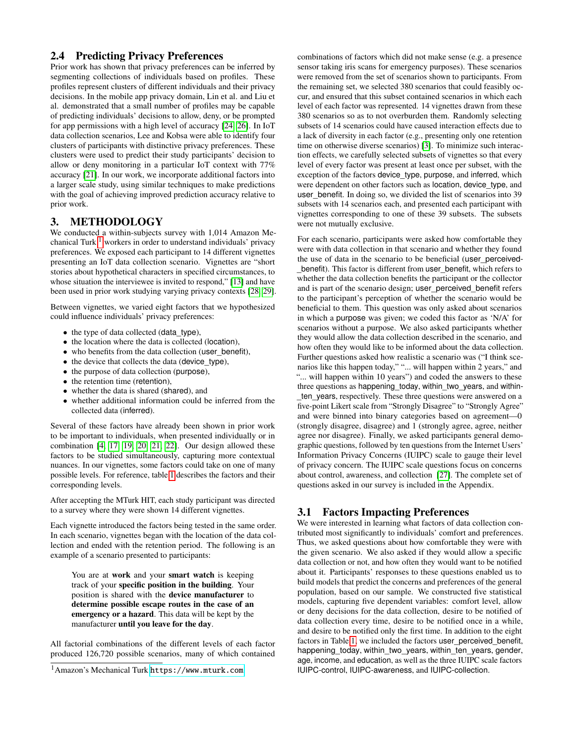# 2.4 Predicting Privacy Preferences

Prior work has shown that privacy preferences can be inferred by segmenting collections of individuals based on profiles. These profiles represent clusters of different individuals and their privacy decisions. In the mobile app privacy domain, Lin et al. and Liu et al. demonstrated that a small number of profiles may be capable of predicting individuals' decisions to allow, deny, or be prompted for app permissions with a high level of accuracy [\[24,](#page-12-15) [26\]](#page-12-16). In IoT data collection scenarios, Lee and Kobsa were able to identify four clusters of participants with distinctive privacy preferences. These clusters were used to predict their study participants' decision to allow or deny monitoring in a particular IoT context with 77% accuracy [\[21\]](#page-12-13). In our work, we incorporate additional factors into a larger scale study, using similar techniques to make predictions with the goal of achieving improved prediction accuracy relative to prior work.

# <span id="page-2-2"></span>3. METHODOLOGY

We conducted a within-subjects survey with 1,014 Amazon Mechanical Turk  $<sup>1</sup>$  $<sup>1</sup>$  $<sup>1</sup>$  workers in order to understand individuals' privacy</sup> preferences. We exposed each participant to 14 different vignettes presenting an IoT data collection scenario. Vignettes are "short stories about hypothetical characters in specified circumstances, to whose situation the interviewee is invited to respond," [\[13\]](#page-12-17) and have been used in prior work studying varying privacy contexts [\[28,](#page-12-18) [29\]](#page-12-19).

Between vignettes, we varied eight factors that we hypothesized could influence individuals' privacy preferences:

- the type of data collected (data type),
- the location where the data is collected (location),
- who benefits from the data collection (user benefit),
- the device that collects the data (device type),
- the purpose of data collection (purpose),
- the retention time (retention),
- whether the data is shared (shared), and
- whether additional information could be inferred from the collected data (inferred).

Several of these factors have already been shown in prior work to be important to individuals, when presented individually or in combination [\[4,](#page-11-2) [17,](#page-12-14) [19,](#page-12-11) [20,](#page-12-12) [21,](#page-12-13) [22\]](#page-12-9). Our design allowed these factors to be studied simultaneously, capturing more contextual nuances. In our vignettes, some factors could take on one of many possible levels. For reference, table [1](#page-3-0) describes the factors and their corresponding levels.

After accepting the MTurk HIT, each study participant was directed to a survey where they were shown 14 different vignettes.

Each vignette introduced the factors being tested in the same order. In each scenario, vignettes began with the location of the data collection and ended with the retention period. The following is an example of a scenario presented to participants:

You are at work and your smart watch is keeping track of your specific position in the building. Your position is shared with the device manufacturer to determine possible escape routes in the case of an emergency or a hazard. This data will be kept by the manufacturer until you leave for the day.

All factorial combinations of the different levels of each factor produced 126,720 possible scenarios, many of which contained combinations of factors which did not make sense (e.g. a presence sensor taking iris scans for emergency purposes). These scenarios were removed from the set of scenarios shown to participants. From the remaining set, we selected 380 scenarios that could feasibly occur, and ensured that this subset contained scenarios in which each level of each factor was represented. 14 vignettes drawn from these 380 scenarios so as to not overburden them. Randomly selecting subsets of 14 scenarios could have caused interaction effects due to a lack of diversity in each factor (e.g., presenting only one retention time on otherwise diverse scenarios) [\[3\]](#page-11-3). To minimize such interaction effects, we carefully selected subsets of vignettes so that every level of every factor was present at least once per subset, with the exception of the factors device\_type, purpose, and inferred, which were dependent on other factors such as location, device\_type, and user\_benefit. In doing so, we divided the list of scenarios into 39 subsets with 14 scenarios each, and presented each participant with vignettes corresponding to one of these 39 subsets. The subsets were not mutually exclusive.

For each scenario, participants were asked how comfortable they were with data collection in that scenario and whether they found the use of data in the scenario to be beneficial (user\_perceived- \_benefit). This factor is different from user\_benefit, which refers to whether the data collection benefits the participant or the collector and is part of the scenario design; user\_perceived\_benefit refers to the participant's perception of whether the scenario would be beneficial to them. This question was only asked about scenarios in which a purpose was given; we coded this factor as 'N/A' for scenarios without a purpose. We also asked participants whether they would allow the data collection described in the scenario, and how often they would like to be informed about the data collection. Further questions asked how realistic a scenario was ("I think scenarios like this happen today," "... will happen within 2 years," and "... will happen within 10 years") and coded the answers to these three questions as happening today, within two years, and withinten years, respectively. These three questions were answered on a five-point Likert scale from "Strongly Disagree" to "Strongly Agree" and were binned into binary categories based on agreement—0 (strongly disagree, disagree) and 1 (strongly agree, agree, neither agree nor disagree). Finally, we asked participants general demographic questions, followed by ten questions from the Internet Users' Information Privacy Concerns (IUIPC) scale to gauge their level of privacy concern. The IUIPC scale questions focus on concerns about control, awareness, and collection [\[27\]](#page-12-20). The complete set of questions asked in our survey is included in the Appendix.

# <span id="page-2-1"></span>3.1 Factors Impacting Preferences

We were interested in learning what factors of data collection contributed most significantly to individuals' comfort and preferences. Thus, we asked questions about how comfortable they were with the given scenario. We also asked if they would allow a specific data collection or not, and how often they would want to be notified about it. Participants' responses to these questions enabled us to build models that predict the concerns and preferences of the general population, based on our sample. We constructed five statistical models, capturing five dependent variables: comfort level, allow or deny decisions for the data collection, desire to be notified of data collection every time, desire to be notified once in a while, and desire to be notified only the first time. In addition to the eight factors in Table [1,](#page-3-0) we included the factors user\_perceived\_benefit, happening\_today, within\_two\_years, within\_ten\_years, gender, age, income, and education, as well as the three IUIPC scale factors IUIPC-control, IUIPC-awareness, and IUIPC-collection.

<span id="page-2-0"></span><sup>1</sup>Amazon's Mechanical Turk <https://www.mturk.com>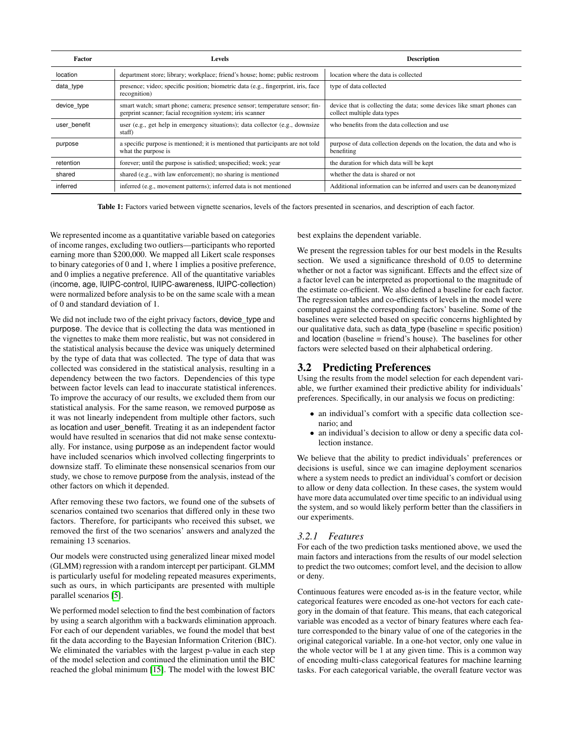<span id="page-3-0"></span>

| Factor       | Levels                                                                                                                                   | <b>Description</b>                                                                                    |
|--------------|------------------------------------------------------------------------------------------------------------------------------------------|-------------------------------------------------------------------------------------------------------|
| location     | department store; library; workplace; friend's house; home; public restroom                                                              | location where the data is collected                                                                  |
| data type    | presence; video; specific position; biometric data (e.g., fingerprint, iris, face<br>recognition)                                        | type of data collected                                                                                |
| device type  | smart watch; smart phone; camera; presence sensor; temperature sensor; fin-<br>gerprint scanner; facial recognition system; iris scanner | device that is collecting the data; some devices like smart phones can<br>collect multiple data types |
| user benefit | user (e.g., get help in emergency situations); data collector (e.g., downsize<br>staff)                                                  | who benefits from the data collection and use                                                         |
| purpose      | a specific purpose is mentioned; it is mentioned that participants are not told<br>what the purpose is                                   | purpose of data collection depends on the location, the data and who is<br>benefiting                 |
| retention    | forever; until the purpose is satisfied; unspecified; week; year                                                                         | the duration for which data will be kept                                                              |
| shared       | shared (e.g., with law enforcement); no sharing is mentioned                                                                             | whether the data is shared or not                                                                     |
| inferred     | inferred (e.g., movement patterns); inferred data is not mentioned                                                                       | Additional information can be inferred and users can be deanonymized                                  |

Table 1: Factors varied between vignette scenarios, levels of the factors presented in scenarios, and description of each factor.

We represented income as a quantitative variable based on categories of income ranges, excluding two outliers—participants who reported earning more than \$200,000. We mapped all Likert scale responses to binary categories of 0 and 1, where 1 implies a positive preference, and 0 implies a negative preference. All of the quantitative variables (income, age, IUIPC-control, IUIPC-awareness, IUIPC-collection) were normalized before analysis to be on the same scale with a mean of 0 and standard deviation of 1.

We did not include two of the eight privacy factors, device\_type and purpose. The device that is collecting the data was mentioned in the vignettes to make them more realistic, but was not considered in the statistical analysis because the device was uniquely determined by the type of data that was collected. The type of data that was collected was considered in the statistical analysis, resulting in a dependency between the two factors. Dependencies of this type between factor levels can lead to inaccurate statistical inferences. To improve the accuracy of our results, we excluded them from our statistical analysis. For the same reason, we removed purpose as it was not linearly independent from multiple other factors, such as location and user\_benefit. Treating it as an independent factor would have resulted in scenarios that did not make sense contextually. For instance, using purpose as an independent factor would have included scenarios which involved collecting fingerprints to downsize staff. To eliminate these nonsensical scenarios from our study, we chose to remove purpose from the analysis, instead of the other factors on which it depended.

After removing these two factors, we found one of the subsets of scenarios contained two scenarios that differed only in these two factors. Therefore, for participants who received this subset, we removed the first of the two scenarios' answers and analyzed the remaining 13 scenarios.

Our models were constructed using generalized linear mixed model (GLMM) regression with a random intercept per participant. GLMM is particularly useful for modeling repeated measures experiments, such as ours, in which participants are presented with multiple parallel scenarios [\[5\]](#page-11-4).

We performed model selection to find the best combination of factors by using a search algorithm with a backwards elimination approach. For each of our dependent variables, we found the model that best fit the data according to the Bayesian Information Criterion (BIC). We eliminated the variables with the largest p-value in each step of the model selection and continued the elimination until the BIC reached the global minimum [\[15\]](#page-12-21). The model with the lowest BIC

best explains the dependent variable.

We present the regression tables for our best models in the Results section. We used a significance threshold of 0.05 to determine whether or not a factor was significant. Effects and the effect size of a factor level can be interpreted as proportional to the magnitude of the estimate co-efficient. We also defined a baseline for each factor. The regression tables and co-efficients of levels in the model were computed against the corresponding factors' baseline. Some of the baselines were selected based on specific concerns highlighted by our qualitative data, such as data\_type (baseline = specific position) and location (baseline = friend's house). The baselines for other factors were selected based on their alphabetical ordering.

# 3.2 Predicting Preferences

Using the results from the model selection for each dependent variable, we further examined their predictive ability for individuals' preferences. Specifically, in our analysis we focus on predicting:

- an individual's comfort with a specific data collection scenario; and
- an individual's decision to allow or deny a specific data collection instance.

We believe that the ability to predict individuals' preferences or decisions is useful, since we can imagine deployment scenarios where a system needs to predict an individual's comfort or decision to allow or deny data collection. In these cases, the system would have more data accumulated over time specific to an individual using the system, and so would likely perform better than the classifiers in our experiments.

# *3.2.1 Features*

For each of the two prediction tasks mentioned above, we used the main factors and interactions from the results of our model selection to predict the two outcomes; comfort level, and the decision to allow or deny.

Continuous features were encoded as-is in the feature vector, while categorical features were encoded as one-hot vectors for each category in the domain of that feature. This means, that each categorical variable was encoded as a vector of binary features where each feature corresponded to the binary value of one of the categories in the original categorical variable. In a one-hot vector, only one value in the whole vector will be 1 at any given time. This is a common way of encoding multi-class categorical features for machine learning tasks. For each categorical variable, the overall feature vector was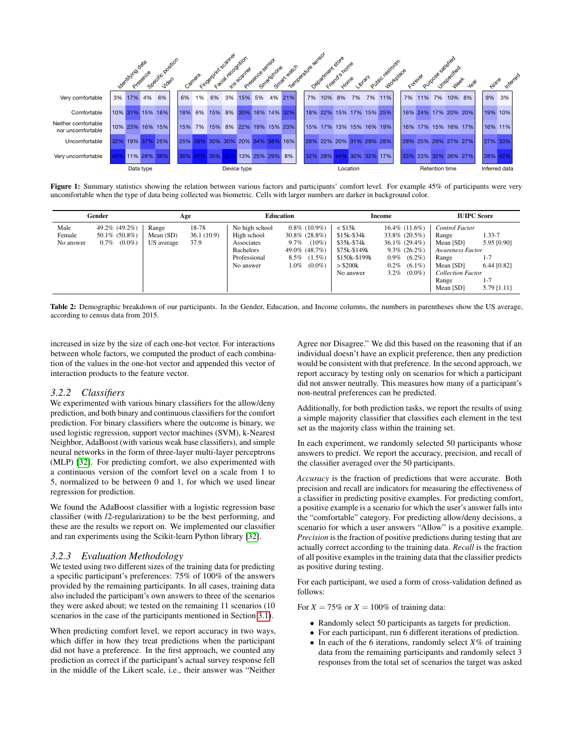<span id="page-4-1"></span>

Figure 1: Summary statistics showing the relation between various factors and participants' comfort level. For example 45% of participants were very uncomfortable when the type of data being collected was biometric. Cells with larger numbers are darker in background color.

<span id="page-4-0"></span>

| Gender                      |                                                             | Age                                |                             | <b>Education</b>                                                                             |                                                                                                                             |                                                                                                              | Income                                                                                                                                           | <b>IUIPC Score</b>                                                                                                               |                                                                             |
|-----------------------------|-------------------------------------------------------------|------------------------------------|-----------------------------|----------------------------------------------------------------------------------------------|-----------------------------------------------------------------------------------------------------------------------------|--------------------------------------------------------------------------------------------------------------|--------------------------------------------------------------------------------------------------------------------------------------------------|----------------------------------------------------------------------------------------------------------------------------------|-----------------------------------------------------------------------------|
| Male<br>Female<br>No answer | 49.2\% (49.2\%)<br>$50.1\%$ (50.8%)<br>$(0.0\%)$<br>$0.7\%$ | Range<br>Mean $(SD)$<br>US average | 18-78<br>36.1(10.9)<br>37.9 | No high school<br>High school<br>Associates<br><b>Bachelors</b><br>Professional<br>No answer | $0.8\%$ (10.9%)<br>$30.8\%$ (28.8%)<br>$(10\%)$<br>$9.7\%$<br>49.0% (48.7%)<br>$(1.5\%)$<br>$8.5\%$<br>$(0.0\%)$<br>$1.0\%$ | $\leq$ \$15 $k$<br>\$15k-\$34k<br>\$35k-\$74k<br>\$75k-\$149k<br>\$150k-\$199k<br>$>$ \$200 $k$<br>No answer | $16.4\%$ (11.6%)<br>33.8% (20.5%)<br>$36.1\%$ (29.4%)<br>$9.3\%$ (26.2%)<br>$(6.2\%)$<br>$0.9\%$<br>$0.2\%$<br>$(6.1\%)$<br>$3.2\%$<br>$(0.0\%)$ | Control Factor<br>Range<br>Mean [SD]<br>Awareness Factor<br>Range<br>Mean [SD]<br><b>Collection Factor</b><br>Range<br>Mean [SD] | 1.33-7<br>5.95 [0.90]<br>$1 - 7$<br>$6.44$ [0.82]<br>$1 - 7$<br>5.79 [1.11] |

Table 2: Demographic breakdown of our participants. In the Gender, Education, and Income columns, the numbers in parentheses show the US average, according to census data from 2015.

increased in size by the size of each one-hot vector. For interactions between whole factors, we computed the product of each combination of the values in the one-hot vector and appended this vector of interaction products to the feature vector.

#### *3.2.2 Classifiers*

We experimented with various binary classifiers for the allow/deny prediction, and both binary and continuous classifiers for the comfort prediction. For binary classifiers where the outcome is binary, we used logistic regression, support vector machines (SVM), k-Nearest Neighbor, AdaBoost (with various weak base classifiers), and simple neural networks in the form of three-layer multi-layer perceptrons (MLP) [\[32\]](#page-12-22). For predicting comfort, we also experimented with a continuous version of the comfort level on a scale from 1 to 5, normalized to be between 0 and 1, for which we used linear regression for prediction.

We found the AdaBoost classifier with a logistic regression base classifier (with *l*2-regularization) to be the best performing, and these are the results we report on. We implemented our classifier and ran experiments using the Scikit-learn Python library [\[32\]](#page-12-22).

#### <span id="page-4-2"></span>*3.2.3 Evaluation Methodology*

We tested using two different sizes of the training data for predicting a specific participant's preferences: 75% of 100% of the answers provided by the remaining participants. In all cases, training data also included the participant's own answers to three of the scenarios they were asked about; we tested on the remaining 11 scenarios (10 scenarios in the case of the participants mentioned in Section [3.1\)](#page-2-1).

When predicting comfort level, we report accuracy in two ways, which differ in how they treat predictions when the participant did not have a preference. In the first approach, we counted any prediction as correct if the participant's actual survey response fell in the middle of the Likert scale, i.e., their answer was "Neither Agree nor Disagree." We did this based on the reasoning that if an individual doesn't have an explicit preference, then any prediction would be consistent with that preference. In the second approach, we report accuracy by testing only on scenarios for which a participant did not answer neutrally. This measures how many of a participant's non-neutral preferences can be predicted.

Additionally, for both prediction tasks, we report the results of using a simple majority classifier that classifies each element in the test set as the majority class within the training set.

In each experiment, we randomly selected 50 participants whose answers to predict. We report the accuracy, precision, and recall of the classifier averaged over the 50 participants.

*Accuracy* is the fraction of predictions that were accurate. Both precision and recall are indicators for measuring the effectiveness of a classifier in predicting positive examples. For predicting comfort, a positive example is a scenario for which the user's answer falls into the "comfortable" category. For predicting allow/deny decisions, a scenario for which a user answers "Allow" is a positive example. *Precision* is the fraction of positive predictions during testing that are actually correct according to the training data. *Recall* is the fraction of all positive examples in the training data that the classifier predicts as positive during testing.

For each participant, we used a form of cross-validation defined as follows:

For  $X = 75\%$  or  $X = 100\%$  of training data:

- Randomly select 50 participants as targets for prediction.
- For each participant, run 6 different iterations of prediction.
- In each of the 6 iterations, randomly select *X*% of training data from the remaining participants and randomly select 3 responses from the total set of scenarios the target was asked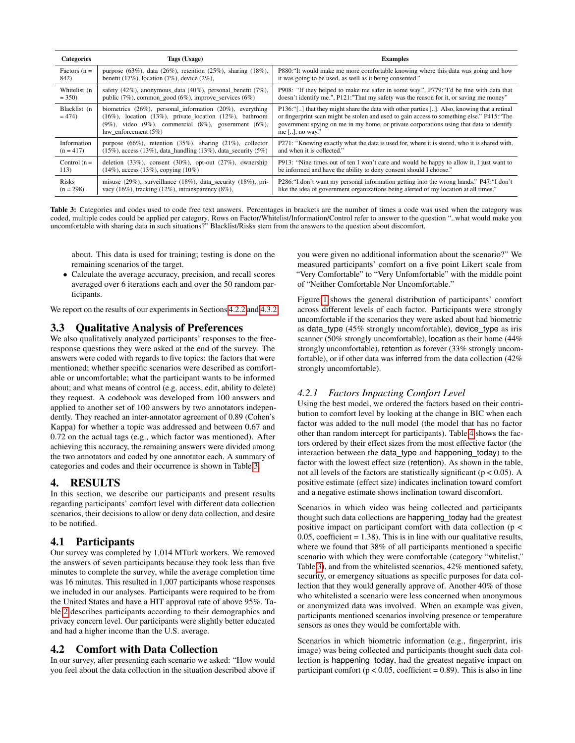<span id="page-5-0"></span>

| <b>Categories</b>       | Tags (Usage)                                                                                                                                                                                                                           | <b>Examples</b>                                                                                                                                                                                                                                                                                            |
|-------------------------|----------------------------------------------------------------------------------------------------------------------------------------------------------------------------------------------------------------------------------------|------------------------------------------------------------------------------------------------------------------------------------------------------------------------------------------------------------------------------------------------------------------------------------------------------------|
| Factors $(n =$          | purpose $(63\%)$ , data $(26\%)$ , retention $(25\%)$ , sharing $(18\%)$ ,                                                                                                                                                             | P880: "It would make me more comfortable knowing where this data was going and how                                                                                                                                                                                                                         |
| 842)                    | benefit $(17\%)$ , location $(7\%)$ , device $(2\%)$ ,                                                                                                                                                                                 | it was going to be used, as well as it being consented."                                                                                                                                                                                                                                                   |
| Whitelist (n            | safety $(42\%)$ , anonymous_data $(40\%)$ , personal_benefit $(7\%)$ ,                                                                                                                                                                 | P908: "If they helped to make me safer in some way.", P779: "I'd be fine with data that                                                                                                                                                                                                                    |
| $= 350$                 | public $(7\%)$ , common good $(6\%)$ , improve services $(6\%)$                                                                                                                                                                        | doesn't identify me.", P121:"That my safety was the reason for it, or saving me money"                                                                                                                                                                                                                     |
| Blacklist (n<br>$= 474$ | biometrics $(26\%)$ , personal_information $(20\%)$ , everything<br>$(16\%)$ , location $(13\%)$ , private_location $(12\%)$ , bathroom<br>$(9\%)$ , video $(9\%)$ , commercial $(8\%)$ , government $(6\%)$ ,<br>law_enforcement (5%) | P136:"[] that they might share the data with other parties []. Also, knowing that a retinal<br>or fingerprint scan might be stolen and used to gain access to something else." P415: "The<br>government spying on me in my home, or private corporations using that data to identify<br>me $[]$ , no way." |
| Information             | purpose $(66\%)$ , retention $(35\%)$ , sharing $(21\%)$ , collector                                                                                                                                                                   | P271: "Knowing exactly what the data is used for, where it is stored, who it is shared with,                                                                                                                                                                                                               |
| $(n = 417)$             | $(15\%)$ , access $(13\%)$ , data_handling $(13\%)$ , data_security $(5\%)$                                                                                                                                                            | and when it is collected."                                                                                                                                                                                                                                                                                 |
| Control $(n =$          | deletion $(33\%)$ , consent $(30\%)$ , opt-out $(27\%)$ , ownership                                                                                                                                                                    | P913: "Nine times out of ten I won't care and would be happy to allow it, I just want to                                                                                                                                                                                                                   |
| 113)                    | $(14\%)$ , access $(13\%)$ , copying $(10\%)$                                                                                                                                                                                          | be informed and have the ability to deny consent should I choose."                                                                                                                                                                                                                                         |
| <b>Risks</b>            | misuse $(29\%)$ , surveillance $(18\%)$ , data_security $(18\%)$ , pri-                                                                                                                                                                | P286: "I don't want my personal information getting into the wrong hands." P47: "I don't                                                                                                                                                                                                                   |
| $(n = 298)$             | vacy $(16\%)$ , tracking $(12\%)$ , intransparency $(8\%)$ ,                                                                                                                                                                           | like the idea of government organizations being alerted of my location at all times."                                                                                                                                                                                                                      |

Table 3: Categories and codes used to code free text answers. Percentages in brackets are the number of times a code was used when the category was coded, multiple codes could be applied per category. Rows on Factor/Whitelist/Information/Control refer to answer to the question "..what would make you uncomfortable with sharing data in such situations?" Blacklist/Risks stem from the answers to the question about discomfort.

about. This data is used for training; testing is done on the remaining scenarios of the target.

• Calculate the average accuracy, precision, and recall scores averaged over 6 iterations each and over the 50 random participants.

We report on the results of our experiments in Sections [4.2.2](#page-6-0) and [4.3.2.](#page-8-0)

# 3.3 Qualitative Analysis of Preferences

We also qualitatively analyzed participants' responses to the freeresponse questions they were asked at the end of the survey. The answers were coded with regards to five topics: the factors that were mentioned; whether specific scenarios were described as comfortable or uncomfortable; what the participant wants to be informed about; and what means of control (e.g. access, edit, ability to delete) they request. A codebook was developed from 100 answers and applied to another set of 100 answers by two annotators independently. They reached an inter-annotator agreement of 0.89 (Cohen's Kappa) for whether a topic was addressed and between 0.67 and 0.72 on the actual tags (e.g., which factor was mentioned). After achieving this accuracy, the remaining answers were divided among the two annotators and coded by one annotator each. A summary of categories and codes and their occurrence is shown in Table [3.](#page-5-0)

# 4. RESULTS

In this section, we describe our participants and present results regarding participants' comfort level with different data collection scenarios, their decisions to allow or deny data collection, and desire to be notified.

### 4.1 Participants

Our survey was completed by 1,014 MTurk workers. We removed the answers of seven participants because they took less than five minutes to complete the survey, while the average completion time was 16 minutes. This resulted in 1,007 participants whose responses we included in our analyses. Participants were required to be from the United States and have a HIT approval rate of above 95%. Table [2](#page-4-0) describes participants according to their demographics and privacy concern level. Our participants were slightly better educated and had a higher income than the U.S. average.

# <span id="page-5-1"></span>4.2 Comfort with Data Collection

In our survey, after presenting each scenario we asked: "How would you feel about the data collection in the situation described above if you were given no additional information about the scenario?" We measured participants' comfort on a five point Likert scale from "Very Comfortable" to "Very Unfomfortable" with the middle point of "Neither Comfortable Nor Uncomfortable."

Figure [1](#page-4-1) shows the general distribution of participants' comfort across different levels of each factor. Participants were strongly uncomfortable if the scenarios they were asked about had biometric as data\_type (45% strongly uncomfortable), device\_type as iris scanner (50% strongly uncomfortable), location as their home (44% strongly uncomfortable), retention as forever (33% strongly uncomfortable), or if other data was inferred from the data collection (42% strongly uncomfortable).

### *4.2.1 Factors Impacting Comfort Level*

Using the best model, we ordered the factors based on their contribution to comfort level by looking at the change in BIC when each factor was added to the null model (the model that has no factor other than random intercept for participants). Table [4](#page-6-1) shows the factors ordered by their effect sizes from the most effective factor (the interaction between the data\_type and happening\_today) to the factor with the lowest effect size (retention). As shown in the table, not all levels of the factors are statistically significant ( $p < 0.05$ ). A positive estimate (effect size) indicates inclination toward comfort and a negative estimate shows inclination toward discomfort.

Scenarios in which video was being collected and participants thought such data collections are happening\_today had the greatest positive impact on participant comfort with data collection (p <  $0.05$ , coefficient = 1.38). This is in line with our qualitative results, where we found that 38% of all participants mentioned a specific scenario with which they were comfortable (category "whitelist," Table [3\)](#page-5-0), and from the whitelisted scenarios, 42% mentioned safety, security, or emergency situations as specific purposes for data collection that they would generally approve of. Another 40% of those who whitelisted a scenario were less concerned when anonymous or anonymized data was involved. When an example was given, participants mentioned scenarios involving presence or temperature sensors as ones they would be comfortable with.

Scenarios in which biometric information (e.g., fingerprint, iris image) was being collected and participants thought such data collection is happening\_today, had the greatest negative impact on participant comfort ( $p < 0.05$ , coefficient = 0.89). This is also in line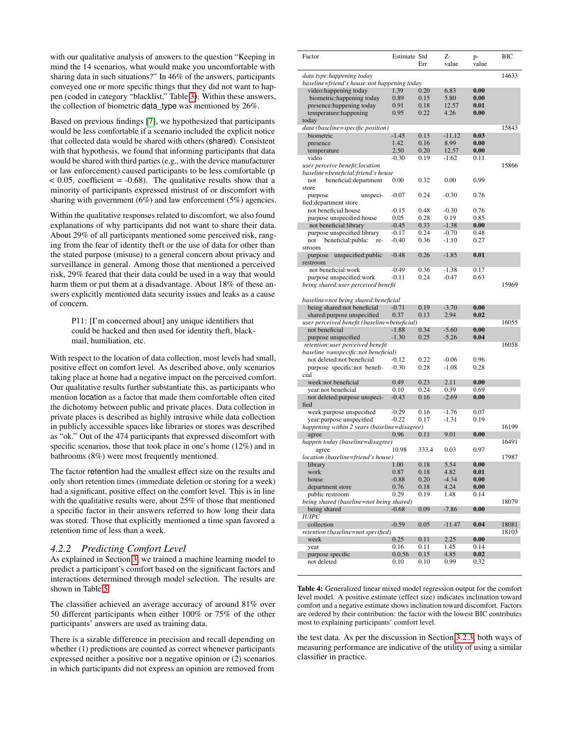with our qualitative analysis of answers to the question "Keeping in mind the 14 scenarios, what would make you uncomfortable with sharing data in such situations?" In 46% of the answers, participants conveyed one or more specific things that they did not want to happen (coded in category "blacklist," Table [3\)](#page-5-0). Within these answers, the collection of biometric data type was mentioned by 26%.

Based on previous findings [\[7\]](#page-12-8), we hypothesized that participants would be less comfortable if a scenario included the explicit notice that collected data would be shared with others (shared). Consistent with that hypothesis, we found that informing participants that data would be shared with third parties (e.g., with the device manufacturer or law enforcement) caused participants to be less comfortable (p  $<$  0.05, coefficient = -0.68). The qualitative results show that a minority of participants expressed mistrust of or discomfort with sharing with government (6%) and law enforcement (5%) agencies.

Within the qualitative responses related to discomfort, we also found explanations of why participants did not want to share their data. About 29% of all participants mentioned some perceived risk, ranging from the fear of identity theft or the use of data for other than the stated purpose (misuse) to a general concern about privacy and surveillance in general. Among those that mentioned a perceived risk, 29% feared that their data could be used in a way that would harm them or put them at a disadvantage. About 18% of these answers explicitly mentioned data security issues and leaks as a cause of concern.

P11: [I'm concerned about] any unique identifiers that could be hacked and then used for identity theft, blackmail, humiliation, etc.

With respect to the location of data collection, most levels had small, positive effect on comfort level. As described above, only scenarios taking place at home had a negative impact on the perceived comfort. Our qualitative results further substantiate this, as participants who mention location as a factor that made them comfortable often cited the dichotomy between public and private places. Data collection in private places is described as highly intrusive while data collection in publicly accessible spaces like libraries or stores was described as "ok." Out of the 474 participants that expressed discomfort with specific scenarios, those that took place in one's home (12%) and in bathrooms (8%) were most frequently mentioned.

The factor retention had the smallest effect size on the results and only short retention times (immediate deletion or storing for a week) had a significant, positive effect on the comfort level. This is in line with the qualitative results were, about 25% of those that mentioned a specific factor in their answers referred to how long their data was stored. Those that explicitly mentioned a time span favored a retention time of less than a week.

#### <span id="page-6-0"></span>*4.2.2 Predicting Comfort Level*

As explained in Section [3,](#page-2-2) we trained a machine learning model to predict a participant's comfort based on the significant factors and interactions determined through model selection. The results are shown in Table [5.](#page-7-0)

The classifier achieved an average accuracy of around 81% over 50 different participants when either 100% or 75% of the other participants' answers are used as training data.

<span id="page-6-1"></span>There is a sizable difference in precision and recall depending on whether (1) predictions are counted as correct whenever participants expressed neither a positive nor a negative opinion or (2) scenarios in which participants did not express an opinion are removed from

| Factor                                       | Estimate Std |       | Z-       | p-    | <b>BIC</b> |
|----------------------------------------------|--------------|-------|----------|-------|------------|
|                                              |              | Err   | value    | value |            |
|                                              |              |       |          |       |            |
| data type:happening today                    |              |       |          |       | 14633      |
| baseline=friend's house:not happening today  |              |       |          |       |            |
| video: happening today                       | 1.39         | 0.20  | 6.83     | 0.00  |            |
| biometric: happening today                   | 0.89         | 0.15  | 5.80     | 0.00  |            |
| presence: happening today                    | 0.91         | 0.18  | 12.57    | 0.01  |            |
| temperature: happening                       | 0.95         | 0.22  | 4.26     | 0.00  |            |
| today                                        |              |       |          |       |            |
|                                              |              |       |          |       |            |
| data (baseline=specific position)            |              |       |          |       | 15843      |
| biometric                                    | $-1.45$      | 0.13  | $-11.12$ | 0.03  |            |
| presence                                     | 1.42         | 0.16  | 8.99     | 0.00  |            |
| temperature                                  | 2.50         | 0.20  | 12.57    | 0.00  |            |
| video                                        | $-0.30$      | 0.19  | $-1.62$  | 0.11  |            |
| user perceive benefit:location               |              |       |          |       | 15866      |
| baseline=beneficial:friend's house           |              |       |          |       |            |
| beneficial:department<br>not                 | 0.00         | 0.32  | 0.00     | 0.99  |            |
|                                              |              |       |          |       |            |
| store                                        |              |       |          |       |            |
| unspeci-<br>purpose                          | $-0.07$      | 0.24  | $-0.30$  | 0.76  |            |
| fied: department store                       |              |       |          |       |            |
| not beneficial:house                         | $-0.15$      | 0.48  | $-0.30$  | 0.76  |            |
| purpose unspecified: house                   | 0.05         | 0.28  | 0.19     | 0.85  |            |
| not beneficial:library                       | $-0.45$      | 0.33  | $-1.38$  | 0.00  |            |
| purpose unspecified: library                 | $-0.17$      | 0.24  | $-0.70$  | 0.48  |            |
|                                              |              | 0.36  |          | 0.27  |            |
| beneficial: public<br>not<br>re-             | $-0.40$      |       | $-1.10$  |       |            |
| stroom                                       |              |       |          |       |            |
| unspecified: public<br>purpose               | $-0.48$      | 0.26  | $-1.85$  | 0.01  |            |
| restroom                                     |              |       |          |       |            |
| not beneficial:work                          | $-0.49$      | 0.36  | $-1.38$  | 0.17  |            |
| purpose unspecified: work                    | $-0.11$      | 0.24  | $-0.47$  | 0.63  |            |
| being shared:user perceived benefit          |              |       |          |       | 15969      |
|                                              |              |       |          |       |            |
|                                              |              |       |          |       |            |
| baseline=not being shared:beneficial         |              |       |          |       |            |
| being shared: not beneficial                 | $-0.71$      | 0.19  | $-3.70$  | 0.00  |            |
| shared: purpose unspecified                  | 0.37         | 0.13  | 2.94     | 0.02  |            |
| user perceived benefit (baseline=beneficial) |              |       |          |       | 16055      |
| not beneficial                               | $-1.88$      | 0.34  | $-5.60$  | 0.00  |            |
| purpose unspecified                          | $-1.30$      | 0.25  | $-5.26$  | 0.04  |            |
| retention: user perceived benefit            |              |       |          |       | 16058      |
| baseline =unspecific:not beneficial)         |              |       |          |       |            |
|                                              |              |       |          |       |            |
| not deleted:not beneficial                   | $-0.12$      | 0.22  | $-0.06$  | 0.96  |            |
| purpose specific:not benefi-                 | $-0.30$      | 0.28  | $-1.08$  | 0.28  |            |
| cial                                         |              |       |          |       |            |
| week:not beneficial                          | 0.49         | 0.23  | 2.11     | 0.00  |            |
| year:not beneficial                          | 0.10         | 0.24  | 0.39     | 0.69  |            |
| not deleted: purpose unspeci-                | $-0.43$      | 0.16  | $-2.69$  | 0.00  |            |
| fied                                         |              |       |          |       |            |
|                                              | $-0.29$      | 0.16  | $-1.76$  | 0.07  |            |
| week: purpose unspecified                    |              |       |          |       |            |
| year: purpose unspecified                    | $-0.22$      | 0.17  | $-1.31$  | 0.19  |            |
| happening within 2 years (baseline=disagree) |              |       |          |       | 16199      |
| agree                                        | 0.96         | 0.11  | 9.01     | 0.00  |            |
| happen today (baseline=disagree)             |              |       |          |       | 16491      |
| agree                                        | 10.98        | 333.4 | 0.03     | 0.97  |            |
| location (baseline=friend's house)           |              |       |          |       | 17987      |
| library                                      | 1.00         | 0.18  | 5.54     | 0.00  |            |
|                                              |              |       |          |       |            |
| work                                         | 0.87         | 0.18  | 4.82     | 0.01  |            |
| house                                        | $-0.88$      | 0.20  | $-4.34$  | 0.00  |            |
| department store                             | 0.76         | 0.18  | 4.24     | 0.00  |            |
| public restroom                              | 0.29         | 0.19  | 1.48     | 0.14  |            |
| being shared (baseline=not being shared)     |              |       |          |       | 18079      |
| being shared                                 | $-0.68$      | 0.09  | $-7.86$  | 0.00  |            |
| <b>IUIPC</b>                                 |              |       |          |       |            |
|                                              |              |       |          |       |            |
| collection                                   | $-0.59$      | 0.05  | $-11.47$ | 0.04  | 18081      |
| retention (baseline=not specified)           |              |       |          |       | 18103      |
| week                                         | 0.25         | 0.11  | 2.25     | 0.00  |            |
| year                                         | 0.16         | 0.11  | 1.45     | 0.14  |            |
| purpose specific                             | 0.0.56       | 0.15  | 4.85     | 0.02  |            |
| not deleted                                  | 0.10         | 0.10  | 0.99     | 0.32  |            |
|                                              |              |       |          |       |            |

Table 4: Generalized linear mixed model regression output for the comfort level model. A positive estimate (effect size) indicates inclination toward comfort and a negative estimate shows inclination toward discomfort. Factors are ordered by their contribution: the factor with the lowest BIC contributes most to explaining participants' comfort level.

the test data. As per the discussion in Section [3.2.3,](#page-4-2) both ways of measuring performance are indicative of the utility of using a similar classifier in practice.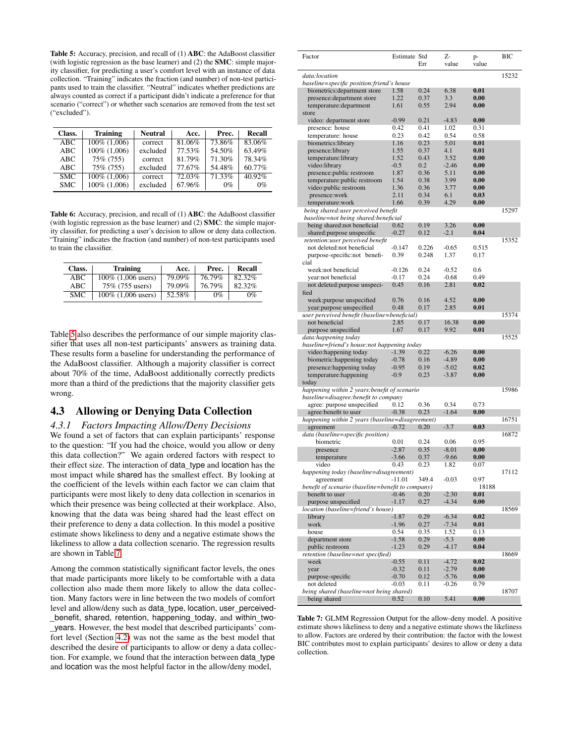<span id="page-7-0"></span>Table 5: Accuracy, precision, and recall of (1) ABC: the AdaBoost classifier (with logistic regression as the base learner) and (2) the SMC: simple majority classifier, for predicting a user's comfort level with an instance of data collection. "Training" indicates the fraction (and number) of non-test participants used to train the classifier. "Neutral" indicates whether predictions are always counted as correct if a participant didn't indicate a preference for that scenario ("correct") or whether such scenarios are removed from the test set ("excluded").

| Class.     | <b>Training</b> | <b>Neutral</b> | Acc.   | Prec.  | Recall |
|------------|-----------------|----------------|--------|--------|--------|
| ABC        | 100\% (1,006)   | correct        | 81.06% | 73.86% | 83.06% |
| ABC        | 100\% (1,006)   | excluded       | 77.53% | 54.50% | 63.49% |
| ABC        | 75% (755)       | correct        | 81.79% | 71.30% | 78.34% |
| ABC        | 75% (755)       | excluded       | 77.67% | 54.48% | 60.77% |
| <b>SMC</b> | 100% (1.006)    | correct        | 72.03% | 71.33% | 40.92% |
| <b>SMC</b> | 100% (1,006)    | excluded       | 67.96% | $0\%$  | $0\%$  |

<span id="page-7-2"></span>Table 6: Accuracy, precision, and recall of (1) ABC: the AdaBoost classifier (with logistic regression as the base learner) and (2) SMC: the simple majority classifier, for predicting a user's decision to allow or deny data collection. "Training" indicates the fraction (and number) of non-test participants used to train the classifier.

| Class. | Training              | Acc.   | Prec.  | Recall |
|--------|-----------------------|--------|--------|--------|
| ABC    | 100\% (1,006 users)   | 79.09% | 76.79% | 82.32% |
| ABC    | 75% (755 users)       | 79.09% | 76.79% | 82.32% |
| SMC.   | $100\%$ (1,006 users) | 52.58% | $0\%$  | 0%     |

Table [5](#page-7-0) also describes the performance of our simple majority classifier that uses all non-test participants' answers as training data. These results form a baseline for understanding the performance of the AdaBoost classifier. Although a majority classifier is correct about 70% of the time, AdaBoost additionally correctly predicts more than a third of the predictions that the majority classifier gets wrong.

### <span id="page-7-3"></span>4.3 Allowing or Denying Data Collection

### *4.3.1 Factors Impacting Allow/Deny Decisions*

We found a set of factors that can explain participants' response to the question: "If you had the choice, would you allow or deny this data collection?" We again ordered factors with respect to their effect size. The interaction of data\_type and location has the most impact while shared has the smallest effect. By looking at the coefficient of the levels within each factor we can claim that participants were most likely to deny data collection in scenarios in which their presence was being collected at their workplace. Also, knowing that the data was being shared had the least effect on their preference to deny a data collection. In this model a positive estimate shows likeliness to deny and a negative estimate shows the likeliness to allow a data collection scenario. The regression results are shown in Table [7.](#page-7-1)

<span id="page-7-1"></span>Among the common statistically significant factor levels, the ones that made participants more likely to be comfortable with a data collection also made them more likely to allow the data collection. Many factors were in line between the two models of comfort level and allow/deny such as data\_type, location, user\_perceived- \_benefit, shared, retention, happening\_today, and within\_two- \_years. However, the best model that described participants' comfort level (Section [4.2\)](#page-5-1) was not the same as the best model that described the desire of participants to allow or deny a data collection. For example, we found that the interaction between data\_type and location was the most helpful factor in the allow/deny model,

| Factor                                                                                | Estimate Std       | Err            | Z-<br>value        | p-<br>value   | ВIС   |
|---------------------------------------------------------------------------------------|--------------------|----------------|--------------------|---------------|-------|
| data:location                                                                         |                    |                |                    |               | 15232 |
| baseline=specific position:friend's house<br>biometrics: department store             | 1.58               | 0.24           | 6.38               | 0.01          |       |
| presence: department store                                                            | 1.22               | 0.37           | 3.3                | 0.00          |       |
| temperature:department                                                                | 1.61               | 0.55           | 2.94               | 0.00          |       |
| store<br>video: department store                                                      | $-0.99$            | 0.21           | $-4.83$            | 0.00          |       |
| presence: house                                                                       | 0.42               | 0.41           | 1.02               | 0.31          |       |
| temperature: house                                                                    | 0.23               | 0.42           | 0.54               | 0.58          |       |
| biometrics:library                                                                    | 1.16<br>1.55       | 0.23           | 5.01<br>4.1        | 0.01<br>0.01  |       |
| presence:library<br>temperature:library                                               | 1.52               | 0.37<br>0.43   | 3.52               | 0.00          |       |
| video:library                                                                         | $-0.5$             | 0.2            | $-2.46$            | 0.00          |       |
| presence:public restroom                                                              | 1.87               | 0.36           | 5.11               | 0.00          |       |
| temperature: public restroom<br>video: public restroom                                | 1.54<br>1.36       | 0.38<br>0.36   | 3.99<br>3.77       | 0.00<br>0.00  |       |
| presence:work                                                                         | 2.11               | 0.34           | 6.1                | 0.03          |       |
| temperature:work                                                                      | 1.66               | 0.39           | 4.29               | 0.00          |       |
| being shared:user perceived benefit<br>baseline=not being shared:beneficial           |                    |                |                    |               | 15297 |
| being shared: not beneficial                                                          | 0.62               | 0.19           | 3.26               | 0.00          |       |
| shared: purpose unspecific                                                            | $-0.27$            | 0.12           | $-2.1$             | 0.04          |       |
| retention:user perceived benefit                                                      |                    |                |                    |               | 15352 |
| not deleted:not beneficial<br>purpose-specific:not benefi-                            | $-0.147$<br>0.39   | 0.226<br>0.248 | $-0.65$<br>1.37    | 0.515<br>0.17 |       |
| cial                                                                                  |                    |                |                    |               |       |
| week:not beneficial                                                                   | $-0.126$           | 0.24           | $-0.52$            | 0.6           |       |
| year:not beneficial                                                                   | $-0.17$            | 0.24           | $-0.68$            | 0.49          |       |
| not deleted: purpose unspeci-<br>fied                                                 | 0.45               | 0.16           | 2.81               | 0.02          |       |
| week: purpose unspecified                                                             | 0.76               | 0.16           | 4.52               | 0.00          |       |
| year: purpose unspecified                                                             | 0.48               | 0.17           | 2.85               | 0.01          |       |
| user perceived benefit (baseline=beneficial)                                          |                    |                |                    | 0.00          | 15374 |
| not beneficial<br>purpose unspecified                                                 | 2.85<br>1.67       | 0.17<br>0.17   | 16.38<br>9.92      | 0.01          |       |
| data:happening today                                                                  |                    |                |                    |               | 15525 |
| baseline=friend's house:not happening today                                           |                    |                |                    |               |       |
| video:happening today<br>biometric: happening today                                   | $-1.39$<br>$-0.78$ | 0.22<br>0.16   | $-6.26$<br>$-4.89$ | 0.00<br>0.00  |       |
| presence: happening today                                                             | $-0.95$            | 0.19           | $-5.02$            | 0.02          |       |
| temperature: happening                                                                | $-0.9$             | 0.23           | $-3.87$            | 0.00          |       |
| today                                                                                 |                    |                |                    |               |       |
| happening within 2 years: benefit of scenario<br>baseline=disagree:benefit to company |                    |                |                    |               | 15986 |
| agree: purpose unspecified                                                            | 0.12               | 0.36           | 0.34               | 0.73          |       |
| agree: benefit to user                                                                | $-0.38$            | 0.23           | $-1.64$            | 0.00          |       |
| happening within 2 years (baseline=disagreement)<br>agreement                         | $-0.72$            | 0.20           | $-3.7$             | 0.03          | 16751 |
| data (baseline=specific position)                                                     |                    |                |                    |               | 16872 |
| biometric                                                                             | 0.01               | 0.24           | 0.06               | 0.95          |       |
| presence                                                                              | $-2.87$            | 0.35           | $-8.01$            | 0.00          |       |
| temperature<br>video                                                                  | $-3.66$<br>0.43    | 0.37<br>0.23   | $-9.66$<br>1.82    | 0.00<br>0.07  |       |
| happening today (baseline=disagreement)                                               |                    |                |                    |               | 17112 |
| agreement                                                                             | $-11.01$           | 349.4          | $-0.03$            | 0.97          |       |
| benefit of scenario (baseline=benefit to company)                                     |                    |                |                    | 18188         |       |
| benefit to user<br>purpose unspecified                                                | $-0.46$<br>$-1.17$ | 0.20<br>0.27   | $-2.30$<br>$-4.34$ | 0.01<br>0.00  |       |
| location (baseline=friend's house)                                                    |                    |                |                    |               | 18569 |
| library                                                                               | $-1.87$            | 0.29           | $-6.34$            | 0.02          |       |
| work                                                                                  | $-1.96$            | 0.27           | $-7.34$            | 0.01          |       |
| house<br>department store                                                             | 0.54<br>$-1.58$    | 0.35<br>0.29   | 1.52<br>$-5.3$     | 0.13<br>0.00  |       |
| public restroom                                                                       | $-1.23$            | 0.29           | $-4.17$            | 0.04          |       |
| retention (baseline=not specified)                                                    |                    |                |                    |               | 18669 |
| week                                                                                  | $-0.55$            | 0.11           | $-4.72$            | 0.02<br>0.00  |       |
| year<br>purpose-specific                                                              | $-0.32$<br>$-0.70$ | 0.11<br>0.12   | $-2.79$<br>$-5.76$ | 0.00          |       |
| not deleted                                                                           | $-0.03$            | 0.11           | $-0.26$            | 0.79          |       |
| being shared (baseline=not being shared)                                              |                    |                |                    |               | 18707 |
| being shared                                                                          | 0.52               | 0.10           | 5.41               | 0.00          |       |

Table 7: GLMM Regression Output for the allow-deny model. A positive estimate shows likeliness to deny and a negative estimate shows the likeliness to allow. Factors are ordered by their contribution: the factor with the lowest BIC contributes most to explain participants' desires to allow or deny a data collection.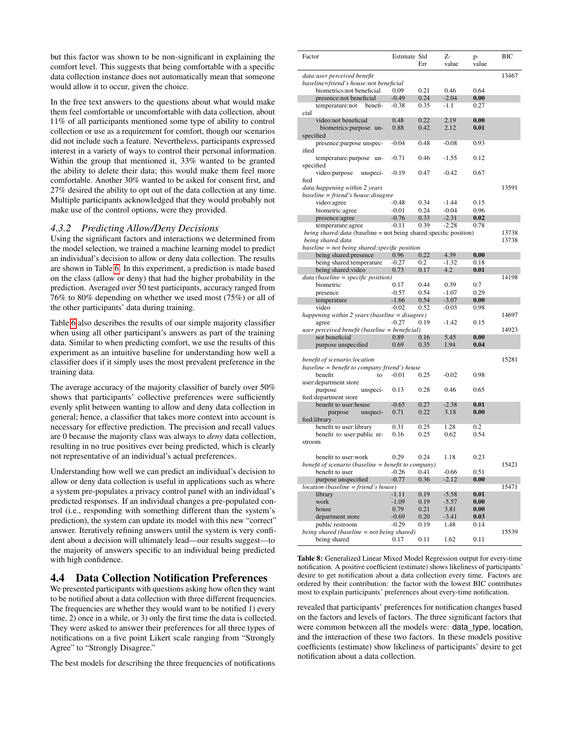but this factor was shown to be non-significant in explaining the comfort level. This suggests that being comfortable with a specific data collection instance does not automatically mean that someone would allow it to occur, given the choice.

In the free text answers to the questions about what would make them feel comfortable or uncomfortable with data collection, about 11% of all participants mentioned some type of ability to control collection or use as a requirement for comfort, though our scenarios did not include such a feature. Nevertheless, participants expressed interest in a variety of ways to control their personal information. Within the group that mentioned it, 33% wanted to be granted the ability to delete their data; this would make them feel more comfortable. Another 30% wanted to be asked for consent first, and 27% desired the ability to opt out of the data collection at any time. Multiple participants acknowledged that they would probably not make use of the control options, were they provided.

#### <span id="page-8-0"></span>*4.3.2 Predicting Allow/Deny Decisions*

Using the significant factors and interactions we determined from the model selection, we trained a machine learning model to predict an individual's decision to allow or deny data collection. The results are shown in Table [6.](#page-7-2) In this experiment, a prediction is made based on the class (allow or deny) that had the higher probability in the prediction. Averaged over 50 test participants, accuracy ranged from 76% to 80% depending on whether we used most (75%) or all of the other participants' data during training.

Table [6](#page-7-2) also describes the results of our simple majority classifier when using all other participant's answers as part of the training data. Similar to when predicting comfort, we use the results of this experiment as an intuitive baseline for understanding how well a classifier does if it simply uses the most prevalent preference in the training data.

The average accuracy of the majority classifier of barely over 50% shows that participants' collective preferences were sufficiently evenly split between wanting to allow and deny data collection in general; hence, a classifier that takes more context into account is necessary for effective prediction. The precision and recall values are 0 because the majority class was always to *deny* data collection, resulting in no true positives ever being predicted, which is clearly not representative of an individual's actual preferences.

Understanding how well we can predict an individual's decision to allow or deny data collection is useful in applications such as where a system pre-populates a privacy control panel with an individual's predicted responses. If an individual changes a pre-populated control (i.e., responding with something different than the system's prediction), the system can update its model with this new "correct" answer. Iteratively refining answers until the system is very confident about a decision will ultimately lead—our results suggest—to the majority of answers specific to an individual being predicted with high confidence.

# <span id="page-8-2"></span>4.4 Data Collection Notification Preferences

We presented participants with questions asking how often they want to be notified about a data collection with three different frequencies. The frequencies are whether they would want to be notified 1) every time, 2) once in a while, or 3) only the first time the data is collected. They were asked to answer their preferences for all three types of notifications on a five point Likert scale ranging from "Strongly Agree" to "Strongly Disagree."

<span id="page-8-1"></span>The best models for describing the three frequencies of notifications

| Factor                                                                                          | Estimate Std       |              | Z-                 | p-           | ВIС   |
|-------------------------------------------------------------------------------------------------|--------------------|--------------|--------------------|--------------|-------|
|                                                                                                 |                    | Err          | value              | value        |       |
| data:user perceived benefit                                                                     |                    |              |                    |              | 13467 |
| baseline=friend's house:not beneficial                                                          |                    |              |                    |              |       |
| biometrics:not beneficial                                                                       | 0.09               | 0.21         | 0.46               | 0.64         |       |
| presence:not beneficial                                                                         | $-0.49$            | 0.24         | $-2.04$            | 0.00         |       |
| temperature:not<br>benefi-                                                                      | $-0.38$            | 0.35         | $-1.1$             | 0.27         |       |
| cial<br>video:not beneficial                                                                    | 0.48               | 0.22         | 2.19               | 0.00         |       |
| biometrics: purpose un-                                                                         | 0.88               | 0.42         | 2.12               | 0.01         |       |
| specified                                                                                       |                    |              |                    |              |       |
| presence: purpose unspec-                                                                       | $-0.04$            | 0.48         | $-0.08$            | 0.93         |       |
| ified                                                                                           |                    |              |                    |              |       |
| temperature:purpose un-                                                                         | $-0.71$            | 0.46         | $-1.55$            | 0.12         |       |
| specified                                                                                       |                    |              |                    |              |       |
| video: purpose<br>unspeci-                                                                      | $-0.19$            | 0.47         | $-0.42$            | 0.67         |       |
| fied                                                                                            |                    |              |                    |              |       |
| data: happening within 2 years                                                                  |                    |              |                    |              | 13591 |
| baseline = friend's house: disagree                                                             |                    |              |                    |              |       |
| video:agree                                                                                     | $-0.48$            | 0.34         | $-1.44$            | 0.15         |       |
| biometric: agree                                                                                | $-0.01$            | 0.24         | $-0.04$            | 0.96         |       |
| presence:agree                                                                                  | $-0.76$<br>$-0.11$ | 0.33<br>0.39 | $-2.31$<br>$-2.28$ | 0.02<br>0.78 |       |
| temperature:agree<br><i>being shared: data</i> (baseline = not being shared: specific position) |                    |              |                    |              | 13738 |
| being shared: data                                                                              |                    |              |                    |              | 13738 |
| baseline = not being shared: specific position                                                  |                    |              |                    |              |       |
| being shared: presence                                                                          | 0.96               | 0.22         | 4.39               | 0.00         |       |
| being shared: temperature                                                                       | $-0.27$            | 0.2          | $-1.32$            | 0.18         |       |
| being shared: video                                                                             | 0.73               | 0.17         | 4.2                | 0.01         |       |
| data (baseline = specific position)                                                             |                    |              |                    |              | 14198 |
| biometric                                                                                       | 0.17               | 0.44         | 0.39               | 0.7          |       |
| presence                                                                                        | $-0.57$            | 0.54         | $-1.07$            | 0.29         |       |
| temperature                                                                                     | $-1.66$            | 0.54         | $-3.07$            | 0.00         |       |
| video                                                                                           | $-0.02$            | 0.52         | $-0.03$            | 0.98         |       |
| happening within 2 years (baseline = disagree)                                                  |                    |              |                    |              | 14697 |
| agree<br>user perceived benefit (baseline = beneficial)                                         | $-0.27$            | 0.19         | $-1.42$            | 0.15         | 14923 |
| not beneficial                                                                                  | 0.89               | 0.16         | 5.45               | 0.00         |       |
| purpose unspecified                                                                             | 0.69               | 0.35         | 1.94               | 0.04         |       |
|                                                                                                 |                    |              |                    |              |       |
| benefit of scenario:location                                                                    |                    |              |                    |              | 15281 |
| baseline = benefit to company:friend's house                                                    |                    |              |                    |              |       |
| benefit<br>to                                                                                   | $-0.01$            | 0.25         | $-0.02$            | 0.98         |       |
| user: department store                                                                          |                    |              |                    |              |       |
| purpose<br>unspeci-                                                                             | 0.13               | 0.28         | 0.46               | 0.65         |       |
| fied: department store                                                                          |                    |              |                    |              |       |
| benefit to user:house                                                                           | $-0.65$            | 0.27<br>0.22 | $-2.38$            | 0.01<br>0.00 |       |
| unspeci-<br>purpose<br>fied:library                                                             | 0.71               |              | 3.18               |              |       |
| benefit to user:library                                                                         | 0.31               | 0.25         | 1.28               | 0.2          |       |
| benefit to user: public re-                                                                     | 0.16               | 0.25         | 0.62               | 0.54         |       |
| stroom                                                                                          |                    |              |                    |              |       |
|                                                                                                 |                    |              |                    |              |       |
| benefit to user:work                                                                            | 0.29               | 0.24         | 1.18               | 0.23         |       |
| benefit of scenario (baseline = benefit to company)                                             |                    |              |                    |              | 15421 |
| benefit to user                                                                                 | $-0.26$            | 0.41         | $-0.66$            | 0.51         |       |
| purpose unspecified                                                                             | $-0.77$            | 0.36         | $-2.12$            | 0.00         |       |
| $location (baseline = friend's house)$                                                          |                    |              |                    |              | 15471 |
| library                                                                                         | $-1.11$            | 0.19         | $-5.58$            | 0.01         |       |
| work<br>house                                                                                   | $-1.09$<br>0.79    | 0.19<br>0.21 | $-5.57$<br>3.81    | 0.00<br>0.00 |       |
| department store                                                                                | $-0.69$            | 0.20         | $-3.41$            | 0.03         |       |
| public restroom                                                                                 | $-0.29$            | 0.19         | 1.48               | 0.14         |       |
| being shared (baseline = not being shared)                                                      |                    |              |                    |              | 15539 |
| being shared                                                                                    | 0.17               | 0.11         | 1.62               | 0.11         |       |
|                                                                                                 |                    |              |                    |              |       |

Table 8: Generalized Linear Mixed Model Regression output for every-time notification. A positive coefficient (estimate) shows likeliness of participants' desire to get notification about a data collection every time. Factors are ordered by their contribution: the factor with the lowest BIC contributes most to explain participants' preferences about every-time notification.

revealed that participants' preferences for notification changes based on the factors and levels of factors. The three significant factors that were common between all the models were: data\_type, location, and the interaction of these two factors. In these models positive coefficients (estimate) show likeliness of participants' desire to get notification about a data collection.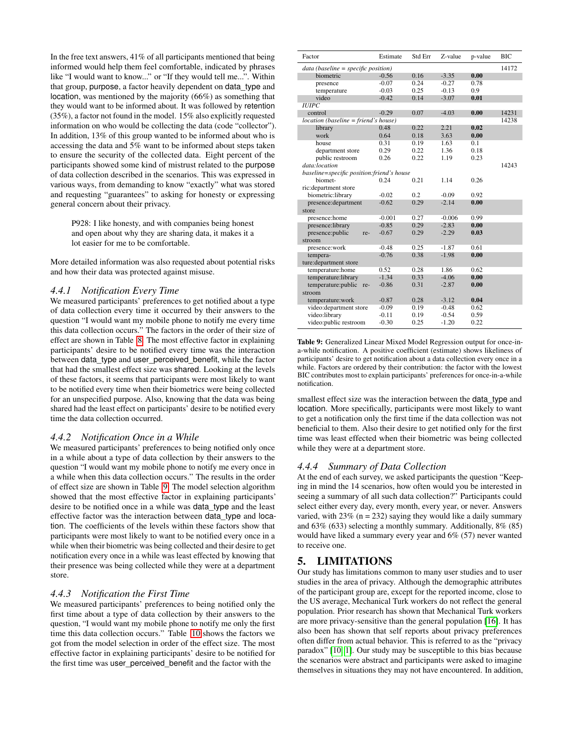In the free text answers, 41% of all participants mentioned that being informed would help them feel comfortable, indicated by phrases like "I would want to know..." or "If they would tell me...". Within that group, purpose, a factor heavily dependent on data\_type and location, was mentioned by the majority (66%) as something that they would want to be informed about. It was followed by retention (35%), a factor not found in the model. 15% also explicitly requested information on who would be collecting the data (code "collector"). In addition, 13% of this group wanted to be informed about who is accessing the data and 5% want to be informed about steps taken to ensure the security of the collected data. Eight percent of the participants showed some kind of mistrust related to the purpose of data collection described in the scenarios. This was expressed in various ways, from demanding to know "exactly" what was stored and requesting "guarantees" to asking for honesty or expressing general concern about their privacy.

P928: I like honesty, and with companies being honest and open about why they are sharing data, it makes it a lot easier for me to be comfortable.

More detailed information was also requested about potential risks and how their data was protected against misuse.

### *4.4.1 Notification Every Time*

We measured participants' preferences to get notified about a type of data collection every time it occurred by their answers to the question "I would want my mobile phone to notify me every time this data collection occurs." The factors in the order of their size of effect are shown in Table [8.](#page-8-1) The most effective factor in explaining participants' desire to be notified every time was the interaction between data\_type and user\_perceived\_benefit, while the factor that had the smallest effect size was shared. Looking at the levels of these factors, it seems that participants were most likely to want to be notified every time when their biometrics were being collected for an unspecified purpose. Also, knowing that the data was being shared had the least effect on participants' desire to be notified every time the data collection occurred.

### *4.4.2 Notification Once in a While*

We measured participants' preferences to being notified only once in a while about a type of data collection by their answers to the question "I would want my mobile phone to notify me every once in a while when this data collection occurs." The results in the order of effect size are shown in Table [9.](#page-9-0) The model selection algorithm showed that the most effective factor in explaining participants' desire to be notified once in a while was data\_type and the least effective factor was the interaction between data\_type and location. The coefficients of the levels within these factors show that participants were most likely to want to be notified every once in a while when their biometric was being collected and their desire to get notification every once in a while was least effected by knowing that their presence was being collected while they were at a department store.

### *4.4.3 Notification the First Time*

<span id="page-9-0"></span>We measured participants' preferences to being notified only the first time about a type of data collection by their answers to the question, "I would want my mobile phone to notify me only the first time this data collection occurs." Table [10](#page-9-1) shows the factors we got from the model selection in order of the effect size. The most effective factor in explaining participants' desire to be notified for the first time was user\_perceived\_benefit and the factor with the

| Factor                                    | Estimate | Std Err | Z-value  | p-value | <b>BIC</b> |
|-------------------------------------------|----------|---------|----------|---------|------------|
| $data (baseline = specific position)$     |          |         |          |         | 14172      |
| biometric                                 | $-0.56$  | 0.16    | $-3.35$  | 0.00    |            |
| presence                                  | $-0.07$  | 0.24    | $-0.27$  | 0.78    |            |
| temperature                               | $-0.03$  | 0.25    | $-0.13$  | 0.9     |            |
| video                                     | $-0.42$  | 0.14    | $-3.07$  | 0.01    |            |
| <b>HJIPC</b>                              |          |         |          |         |            |
| control                                   | $-0.29$  | 0.07    | $-4.03$  | 0.00    | 14231      |
| location (baseline = friend's house)      |          |         |          |         | 14238      |
| library                                   | 0.48     | 0.22    | 2.21     | 0.02    |            |
| work                                      | 0.64     | 0.18    | 3.63     | 0.00    |            |
| house                                     | 0.31     | 0.19    | 1.63     | 0.1     |            |
| department store                          | 0.29     | 0.22    | 1.36     | 0.18    |            |
| public restroom                           | 0.26     | 0.22    | 1.19     | 0.23    |            |
| data:location                             |          |         |          |         | 14243      |
| baseline=specific position:friend's house |          |         |          |         |            |
| biomet-                                   | 0.24     | 0.21    | 1.14     | 0.26    |            |
| ric: department store                     |          |         |          |         |            |
| biometric:library                         | $-0.02$  | 0.2     | $-0.09$  | 0.92    |            |
| presence:department                       | $-0.62$  | 0.29    | $-2.14$  | 0.00    |            |
| store                                     |          |         |          |         |            |
| presence:home                             | $-0.001$ | 0.27    | $-0.006$ | 0.99    |            |
| presence:library                          | $-0.85$  | 0.29    | $-2.83$  | 0.00    |            |
| presence:public<br>re-                    | $-0.67$  | 0.29    | $-2.29$  | 0.03    |            |
| stroom                                    |          |         |          |         |            |
| presence:work                             | $-0.48$  | 0.25    | $-1.87$  | 0.61    |            |
| tempera-                                  | $-0.76$  | 0.38    | $-1.98$  | 0.00    |            |
| ture: department store                    |          |         |          |         |            |
| temperature:home                          | 0.52     | 0.28    | 1.86     | 0.62    |            |
| temperature:library                       | $-1.34$  | 0.33    | $-4.06$  | 0.00    |            |
| temperature:public re-                    | $-0.86$  | 0.31    | $-2.87$  | 0.00    |            |
| stroom                                    |          |         |          |         |            |
| temperature:work                          | $-0.87$  | 0.28    | $-3.12$  | 0.04    |            |
| video: department store                   | $-0.09$  | 0.19    | $-0.48$  | 0.62    |            |
| video:library                             | $-0.11$  | 0.19    | $-0.54$  | 0.59    |            |
| video:public restroom                     | $-0.30$  | 0.25    | $-1.20$  | 0.22    |            |

Table 9: Generalized Linear Mixed Model Regression output for once-ina-while notification. A positive coefficient (estimate) shows likeliness of participants' desire to get notification about a data collection every once in a while. Factors are ordered by their contribution: the factor with the lowest BIC contributes most to explain participants' preferences for once-in-a-while notification.

smallest effect size was the interaction between the data type and location. More specifically, participants were most likely to want to get a notification only the first time if the data collection was not beneficial to them. Also their desire to get notified only for the first time was least effected when their biometric was being collected while they were at a department store.

### *4.4.4 Summary of Data Collection*

At the end of each survey, we asked participants the question "Keeping in mind the 14 scenarios, how often would you be interested in seeing a summary of all such data collection?" Participants could select either every day, every month, every year, or never. Answers varied, with  $23\%$  (n = 232) saying they would like a daily summary and 63% (633) selecting a monthly summary. Additionally, 8% (85) would have liked a summary every year and 6% (57) never wanted to receive one.

# 5. LIMITATIONS

<span id="page-9-1"></span>Our study has limitations common to many user studies and to user studies in the area of privacy. Although the demographic attributes of the participant group are, except for the reported income, close to the US average, Mechanical Turk workers do not reflect the general population. Prior research has shown that Mechanical Turk workers are more privacy-sensitive than the general population [\[16\]](#page-12-23). It has also been has shown that self reports about privacy preferences often differ from actual behavior. This is referred to as the "privacy paradox" [\[10,](#page-12-24) [1\]](#page-11-5). Our study may be susceptible to this bias because the scenarios were abstract and participants were asked to imagine themselves in situations they may not have encountered. In addition,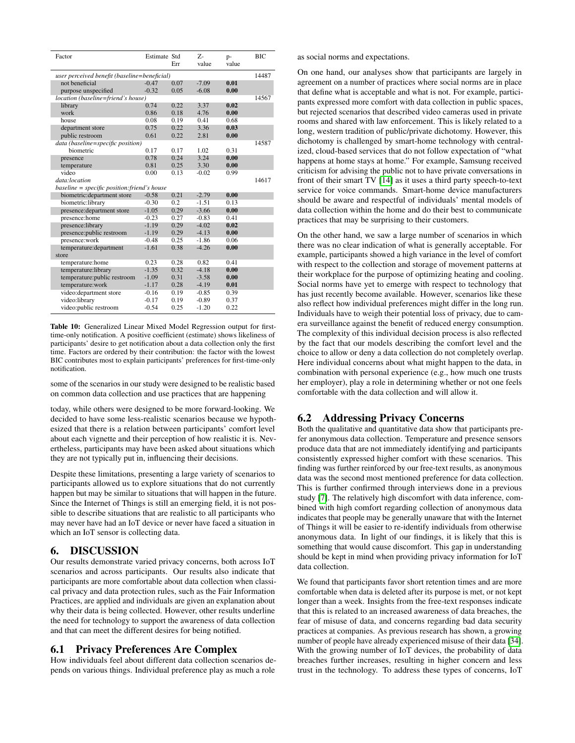| Factor                                       | Estimate Std | Err  | $Z_{\tau}$<br>value | $p-$<br>value | <b>BIC</b> |
|----------------------------------------------|--------------|------|---------------------|---------------|------------|
| user perceived benefit (baseline=beneficial) |              |      |                     |               | 14487      |
| not beneficial                               | $-0.47$      | 0.07 | $-7.09$             | 0.01          |            |
| purpose unspecified                          | $-0.32$      | 0.05 | $-6.08$             | 0.00          |            |
| location (baseline=friend's house)           |              |      |                     |               | 14567      |
| library                                      | 0.74         | 0.22 | 3.37                | 0.02          |            |
| work                                         | 0.86         | 0.18 | 4.76                | 0.00          |            |
| house                                        | 0.08         | 0.19 | 0.41                | 0.68          |            |
| department store                             | 0.75         | 0.22 | 3.36                | 0.03          |            |
| public restroom                              | 0.61         | 0.22 | 2.81                | 0.00          |            |
| data (baseline=specific position)            |              |      |                     |               | 14587      |
| biometric                                    | 0.17         | 0.17 | 1.02                | 0.31          |            |
| presence                                     | 0.78         | 0.24 | 3.24                | 0.00          |            |
| temperature                                  | 0.81         | 0.25 | 3.30                | 0.00          |            |
| video                                        | 0.00         | 0.13 | $-0.02$             | 0.99          |            |
| data:location                                |              |      |                     |               | 14617      |
| baseline = specific position: friend's house |              |      |                     |               |            |
| biometric: department store                  | $-0.58$      | 0.21 | $-2.79$             | 0.00          |            |
| biometric:library                            | $-0.30$      | 0.2  | $-1.51$             | 0.13          |            |
| presence: department store                   | $-1.05$      | 0.29 | $-3.66$             | 0.00          |            |
| presence:home                                | $-0.23$      | 0.27 | $-0.83$             | 0.41          |            |
| presence:library                             | $-1.19$      | 0.29 | $-4.02$             | 0.02          |            |
| presence:public restroom                     | $-1.19$      | 0.29 | $-4.13$             | 0.00          |            |
| presence:work                                | $-0.48$      | 0.25 | $-1.86$             | 0.06          |            |
| temperature: department                      | $-1.61$      | 0.38 | $-4.26$             | 0.00          |            |
| store                                        |              |      |                     |               |            |
| temperature:home                             | 0.23         | 0.28 | 0.82                | 0.41          |            |
| temperature:library                          | $-1.35$      | 0.32 | $-4.18$             | 0.00          |            |
| temperature: public restroom                 | $-1.09$      | 0.31 | $-3.58$             | 0.00          |            |
| temperature:work                             | $-1.17$      | 0.28 | $-4.19$             | 0.01          |            |
| video: department store                      | $-0.16$      | 0.19 | $-0.85$             | 0.39          |            |
| video:library                                | $-0.17$      | 0.19 | $-0.89$             | 0.37          |            |
| video:public restroom                        | $-0.54$      | 0.25 | $-1.20$             | 0.22          |            |

Table 10: Generalized Linear Mixed Model Regression output for firsttime-only notification. A positive coefficient (estimate) shows likeliness of participants' desire to get notification about a data collection only the first time. Factors are ordered by their contribution: the factor with the lowest BIC contributes most to explain participants' preferences for first-time-only notification.

some of the scenarios in our study were designed to be realistic based on common data collection and use practices that are happening

today, while others were designed to be more forward-looking. We decided to have some less-realistic scenarios because we hypothesized that there is a relation between participants' comfort level about each vignette and their perception of how realistic it is. Nevertheless, participants may have been asked about situations which they are not typically put in, influencing their decisions.

Despite these limitations, presenting a large variety of scenarios to participants allowed us to explore situations that do not currently happen but may be similar to situations that will happen in the future. Since the Internet of Things is still an emerging field, it is not possible to describe situations that are realistic to all participants who may never have had an IoT device or never have faced a situation in which an IoT sensor is collecting data.

# 6. DISCUSSION

Our results demonstrate varied privacy concerns, both across IoT scenarios and across participants. Our results also indicate that participants are more comfortable about data collection when classical privacy and data protection rules, such as the Fair Information Practices, are applied and individuals are given an explanation about why their data is being collected. However, other results underline the need for technology to support the awareness of data collection and that can meet the different desires for being notified.

### 6.1 Privacy Preferences Are Complex

How individuals feel about different data collection scenarios depends on various things. Individual preference play as much a role

as social norms and expectations.

On one hand, our analyses show that participants are largely in agreement on a number of practices where social norms are in place that define what is acceptable and what is not. For example, participants expressed more comfort with data collection in public spaces, but rejected scenarios that described video cameras used in private rooms and shared with law enforcement. This is likely related to a long, western tradition of public/private dichotomy. However, this dichotomy is challenged by smart-home technology with centralized, cloud-based services that do not follow expectation of "what happens at home stays at home." For example, Samsung received criticism for advising the public not to have private conversations in front of their smart TV [\[14\]](#page-12-25) as it uses a third party speech-to-text service for voice commands. Smart-home device manufacturers should be aware and respectful of individuals' mental models of data collection within the home and do their best to communicate practices that may be surprising to their customers.

On the other hand, we saw a large number of scenarios in which there was no clear indication of what is generally acceptable. For example, participants showed a high variance in the level of comfort with respect to the collection and storage of movement patterns at their workplace for the purpose of optimizing heating and cooling. Social norms have yet to emerge with respect to technology that has just recently become available. However, scenarios like these also reflect how individual preferences might differ in the long run. Individuals have to weigh their potential loss of privacy, due to camera surveillance against the benefit of reduced energy consumption. The complexity of this individual decision process is also reflected by the fact that our models describing the comfort level and the choice to allow or deny a data collection do not completely overlap. Here individual concerns about what might happen to the data, in combination with personal experience (e.g., how much one trusts her employer), play a role in determining whether or not one feels comfortable with the data collection and will allow it.

# 6.2 Addressing Privacy Concerns

Both the qualitative and quantitative data show that participants prefer anonymous data collection. Temperature and presence sensors produce data that are not immediately identifying and participants consistently expressed higher comfort with these scenarios. This finding was further reinforced by our free-text results, as anonymous data was the second most mentioned preference for data collection. This is further confirmed through interviews done in a previous study [\[7\]](#page-12-8). The relatively high discomfort with data inference, combined with high comfort regarding collection of anonymous data indicates that people may be generally unaware that with the Internet of Things it will be easier to re-identify individuals from otherwise anonymous data. In light of our findings, it is likely that this is something that would cause discomfort. This gap in understanding should be kept in mind when providing privacy information for IoT data collection.

We found that participants favor short retention times and are more comfortable when data is deleted after its purpose is met, or not kept longer than a week. Insights from the free-text responses indicate that this is related to an increased awareness of data breaches, the fear of misuse of data, and concerns regarding bad data security practices at companies. As previous research has shown, a growing number of people have already experienced misuse of their data [\[34\]](#page-12-26). With the growing number of IoT devices, the probability of data breaches further increases, resulting in higher concern and less trust in the technology. To address these types of concerns, IoT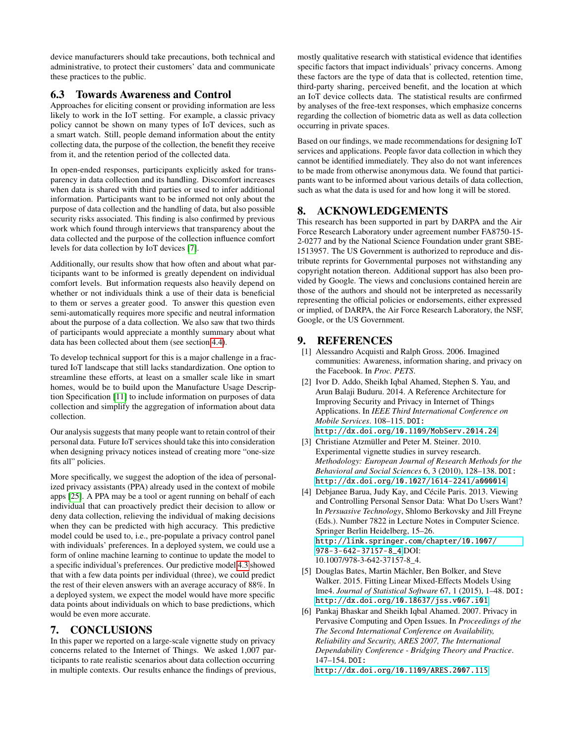device manufacturers should take precautions, both technical and administrative, to protect their customers' data and communicate these practices to the public.

# 6.3 Towards Awareness and Control

Approaches for eliciting consent or providing information are less likely to work in the IoT setting. For example, a classic privacy policy cannot be shown on many types of IoT devices, such as a smart watch. Still, people demand information about the entity collecting data, the purpose of the collection, the benefit they receive from it, and the retention period of the collected data.

In open-ended responses, participants explicitly asked for transparency in data collection and its handling. Discomfort increases when data is shared with third parties or used to infer additional information. Participants want to be informed not only about the purpose of data collection and the handling of data, but also possible security risks associated. This finding is also confirmed by previous work which found through interviews that transparency about the data collected and the purpose of the collection influence comfort levels for data collection by IoT devices [\[7\]](#page-12-8).

Additionally, our results show that how often and about what participants want to be informed is greatly dependent on individual comfort levels. But information requests also heavily depend on whether or not individuals think a use of their data is beneficial to them or serves a greater good. To answer this question even semi-automatically requires more specific and neutral information about the purpose of a data collection. We also saw that two thirds of participants would appreciate a monthly summary about what data has been collected about them (see section [4.4\)](#page-8-2).

To develop technical support for this is a major challenge in a fractured IoT landscape that still lacks standardization. One option to streamline these efforts, at least on a smaller scale like in smart homes, would be to build upon the Manufacture Usage Description Specification [\[11\]](#page-12-27) to include information on purposes of data collection and simplify the aggregation of information about data collection.

Our analysis suggests that many people want to retain control of their personal data. Future IoT services should take this into consideration when designing privacy notices instead of creating more "one-size fits all" policies.

More specifically, we suggest the adoption of the idea of personalized privacy assistants (PPA) already used in the context of mobile apps [\[25\]](#page-12-1). A PPA may be a tool or agent running on behalf of each individual that can proactively predict their decision to allow or deny data collection, relieving the individual of making decisions when they can be predicted with high accuracy. This predictive model could be used to, i.e., pre-populate a privacy control panel with individuals' preferences. In a deployed system, we could use a form of online machine learning to continue to update the model to a specific individual's preferences. Our predictive model [4.3](#page-7-3) showed that with a few data points per individual (three), we could predict the rest of their eleven answers with an average accuracy of 88%. In a deployed system, we expect the model would have more specific data points about individuals on which to base predictions, which would be even more accurate.

# 7. CONCLUSIONS

In this paper we reported on a large-scale vignette study on privacy concerns related to the Internet of Things. We asked 1,007 participants to rate realistic scenarios about data collection occurring in multiple contexts. Our results enhance the findings of previous,

mostly qualitative research with statistical evidence that identifies specific factors that impact individuals' privacy concerns. Among these factors are the type of data that is collected, retention time, third-party sharing, perceived benefit, and the location at which an IoT device collects data. The statistical results are confirmed by analyses of the free-text responses, which emphasize concerns regarding the collection of biometric data as well as data collection occurring in private spaces.

Based on our findings, we made recommendations for designing IoT services and applications. People favor data collection in which they cannot be identified immediately. They also do not want inferences to be made from otherwise anonymous data. We found that participants want to be informed about various details of data collection, such as what the data is used for and how long it will be stored.

# 8. ACKNOWLEDGEMENTS

This research has been supported in part by DARPA and the Air Force Research Laboratory under agreement number FA8750-15- 2-0277 and by the National Science Foundation under grant SBE-1513957. The US Government is authorized to reproduce and distribute reprints for Governmental purposes not withstanding any copyright notation thereon. Additional support has also been provided by Google. The views and conclusions contained herein are those of the authors and should not be interpreted as necessarily representing the official policies or endorsements, either expressed or implied, of DARPA, the Air Force Research Laboratory, the NSF, Google, or the US Government.

# **REFERENCES**

- <span id="page-11-5"></span>[1] Alessandro Acquisti and Ralph Gross. 2006. Imagined communities: Awareness, information sharing, and privacy on the Facebook. In *Proc. PETS*.
- <span id="page-11-1"></span>[2] Ivor D. Addo, Sheikh Iqbal Ahamed, Stephen S. Yau, and Arun Balaji Buduru. 2014. A Reference Architecture for Improving Security and Privacy in Internet of Things Applications. In *IEEE Third International Conference on Mobile Services*. 108–115. DOI: <http://dx.doi.org/10.1109/MobServ.2014.24>
- <span id="page-11-3"></span>[3] Christiane Atzmüller and Peter M. Steiner. 2010. Experimental vignette studies in survey research. *Methodology: European Journal of Research Methods for the Behavioral and Social Sciences* 6, 3 (2010), 128–138. DOI: <http://dx.doi.org/10.1027/1614-2241/a000014>
- <span id="page-11-2"></span>[4] Debjanee Barua, Judy Kay, and Cécile Paris. 2013. Viewing and Controlling Personal Sensor Data: What Do Users Want? In *Persuasive Technology*, Shlomo Berkovsky and Jill Freyne (Eds.). Number 7822 in Lecture Notes in Computer Science. Springer Berlin Heidelberg, 15–26. [http://link.springer.com/chapter/10.1007/](http://link.springer.com/chapter/10.1007/978-3-642-37157-8_4) [978-3-642-37157-8\\_4](http://link.springer.com/chapter/10.1007/978-3-642-37157-8_4) DOI: 10.1007/978-3-642-37157-8\_4.
- <span id="page-11-4"></span>[5] Douglas Bates, Martin Mächler, Ben Bolker, and Steve Walker. 2015. Fitting Linear Mixed-Effects Models Using lme4. *Journal of Statistical Software* 67, 1 (2015), 1–48. DOI: <http://dx.doi.org/10.18637/jss.v067.i01>
- <span id="page-11-0"></span>[6] Pankaj Bhaskar and Sheikh Iqbal Ahamed. 2007. Privacy in Pervasive Computing and Open Issues. In *Proceedings of the The Second International Conference on Availability, Reliability and Security, ARES 2007, The International Dependability Conference - Bridging Theory and Practice*. 147–154. DOI:

<http://dx.doi.org/10.1109/ARES.2007.115>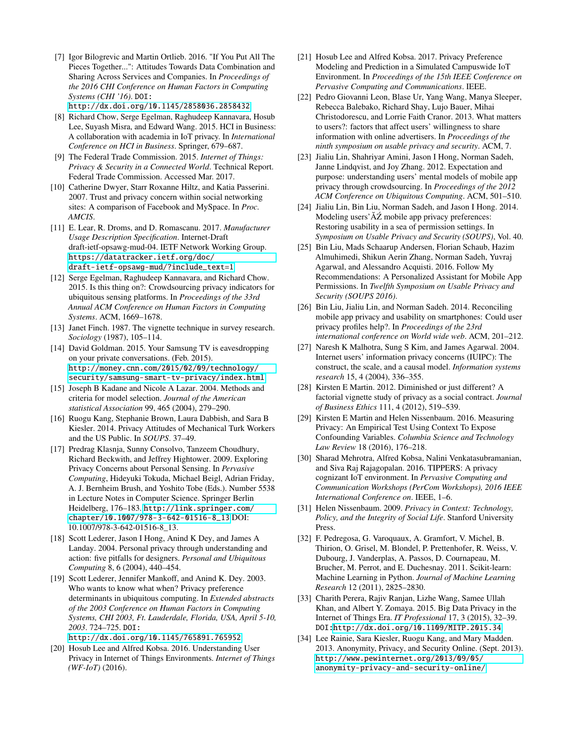- <span id="page-12-8"></span>[7] Igor Bilogrevic and Martin Ortlieb. 2016. "If You Put All The Pieces Together...": Attitudes Towards Data Combination and Sharing Across Services and Companies. In *Proceedings of the 2016 CHI Conference on Human Factors in Computing Systems (CHI '16)*. DOI: <http://dx.doi.org/10.1145/2858036.2858432>
- <span id="page-12-2"></span>[8] Richard Chow, Serge Egelman, Raghudeep Kannavara, Hosub Lee, Suyash Misra, and Edward Wang. 2015. HCI in Business: A collaboration with academia in IoT privacy. In *International*
- <span id="page-12-4"></span>*Conference on HCI in Business*. Springer, 679–687. [9] The Federal Trade Commission. 2015. *Internet of Things: Privacy & Security in a Connected World*. Technical Report. Federal Trade Commission. Accessed Mar. 2017.
- <span id="page-12-24"></span>[10] Catherine Dwyer, Starr Roxanne Hiltz, and Katia Passerini. 2007. Trust and privacy concern within social networking sites: A comparison of Facebook and MySpace. In *Proc. AMCIS*.
- <span id="page-12-27"></span>[11] E. Lear, R. Droms, and D. Romascanu. 2017. *Manufacturer Usage Description Specification*. Internet-Draft draft-ietf-opsawg-mud-04. IETF Network Working Group. [https://datatracker.ietf.org/doc/](https://datatracker.ietf.org/doc/draft-ietf-opsawg-mud/?include_text=1) [draft-ietf-opsawg-mud/?include\\_text=1](https://datatracker.ietf.org/doc/draft-ietf-opsawg-mud/?include_text=1)
- <span id="page-12-7"></span>[12] Serge Egelman, Raghudeep Kannavara, and Richard Chow. 2015. Is this thing on?: Crowdsourcing privacy indicators for ubiquitous sensing platforms. In *Proceedings of the 33rd Annual ACM Conference on Human Factors in Computing Systems*. ACM, 1669–1678.
- <span id="page-12-17"></span>[13] Janet Finch. 1987. The vignette technique in survey research. *Sociology* (1987), 105–114.
- <span id="page-12-25"></span>[14] David Goldman. 2015. Your Samsung TV is eavesdropping on your private conversations. (Feb. 2015). [http://money.cnn.com/2015/02/09/technology/](http://money.cnn.com/2015/02/09/technology/security/samsung-smart-tv-privacy/index.html) [security/samsung-smart-tv-privacy/index.html](http://money.cnn.com/2015/02/09/technology/security/samsung-smart-tv-privacy/index.html)
- <span id="page-12-21"></span>[15] Joseph B Kadane and Nicole A Lazar. 2004. Methods and criteria for model selection. *Journal of the American statistical Association* 99, 465 (2004), 279–290.
- <span id="page-12-23"></span>[16] Ruogu Kang, Stephanie Brown, Laura Dabbish, and Sara B Kiesler. 2014. Privacy Attitudes of Mechanical Turk Workers and the US Public. In *SOUPS*. 37–49.
- <span id="page-12-14"></span>[17] Predrag Klasnja, Sunny Consolvo, Tanzeem Choudhury, Richard Beckwith, and Jeffrey Hightower. 2009. Exploring Privacy Concerns about Personal Sensing. In *Pervasive Computing*, Hideyuki Tokuda, Michael Beigl, Adrian Friday, A. J. Bernheim Brush, and Yoshito Tobe (Eds.). Number 5538 in Lecture Notes in Computer Science. Springer Berlin Heidelberg, 176–183. [http://link.springer.com/](http://link.springer.com/chapter/10.1007/978-3-642-01516-8_13) [chapter/10.1007/978-3-642-01516-8\\_13](http://link.springer.com/chapter/10.1007/978-3-642-01516-8_13) DOI: 10.1007/978-3-642-01516-8\_13.
- <span id="page-12-6"></span>[18] Scott Lederer, Jason I Hong, Anind K Dey, and James A Landay. 2004. Personal privacy through understanding and action: five pitfalls for designers. *Personal and Ubiquitous Computing* 8, 6 (2004), 440–454.
- <span id="page-12-11"></span>[19] Scott Lederer, Jennifer Mankoff, and Anind K. Dey. 2003. Who wants to know what when? Privacy preference determinants in ubiquitous computing. In *Extended abstracts of the 2003 Conference on Human Factors in Computing Systems, CHI 2003, Ft. Lauderdale, Florida, USA, April 5-10, 2003*. 724–725. DOI:

<http://dx.doi.org/10.1145/765891.765952>

<span id="page-12-12"></span>[20] Hosub Lee and Alfred Kobsa. 2016. Understanding User Privacy in Internet of Things Environments. *Internet of Things (WF-IoT)* (2016).

- <span id="page-12-13"></span>[21] Hosub Lee and Alfred Kobsa. 2017. Privacy Preference Modeling and Prediction in a Simulated Campuswide IoT Environment. In *Proceedings of the 15th IEEE Conference on Pervasive Computing and Communications*. IEEE.
- <span id="page-12-9"></span>[22] Pedro Giovanni Leon, Blase Ur, Yang Wang, Manya Sleeper, Rebecca Balebako, Richard Shay, Lujo Bauer, Mihai Christodorescu, and Lorrie Faith Cranor. 2013. What matters to users?: factors that affect users' willingness to share information with online advertisers. In *Proceedings of the ninth symposium on usable privacy and security*. ACM, 7.
- <span id="page-12-10"></span>[23] Jialiu Lin, Shahriyar Amini, Jason I Hong, Norman Sadeh, Janne Lindqvist, and Joy Zhang. 2012. Expectation and purpose: understanding users' mental models of mobile app privacy through crowdsourcing. In *Proceedings of the 2012 ACM Conference on Ubiquitous Computing*. ACM, 501–510.
- <span id="page-12-15"></span>[24] Jialiu Lin, Bin Liu, Norman Sadeh, and Jason I Hong. 2014. Modeling users'AZ mobile app privacy preferences: Restoring usability in a sea of permission settings. In *Symposium on Usable Privacy and Security (SOUPS)*, Vol. 40.
- <span id="page-12-1"></span>[25] Bin Liu, Mads Schaarup Andersen, Florian Schaub, Hazim Almuhimedi, Shikun Aerin Zhang, Norman Sadeh, Yuvraj Agarwal, and Alessandro Acquisti. 2016. Follow My Recommendations: A Personalized Assistant for Mobile App Permissions. In *Twelfth Symposium on Usable Privacy and Security (SOUPS 2016)*.
- <span id="page-12-16"></span>[26] Bin Liu, Jialiu Lin, and Norman Sadeh. 2014. Reconciling mobile app privacy and usability on smartphones: Could user privacy profiles help?. In *Proceedings of the 23rd international conference on World wide web*. ACM, 201–212.
- <span id="page-12-20"></span>[27] Naresh K Malhotra, Sung S Kim, and James Agarwal. 2004. Internet users' information privacy concerns (IUIPC): The construct, the scale, and a causal model. *Information systems research* 15, 4 (2004), 336–355.
- <span id="page-12-18"></span>[28] Kirsten E Martin. 2012. Diminished or just different? A factorial vignette study of privacy as a social contract. *Journal of Business Ethics* 111, 4 (2012), 519–539.
- <span id="page-12-19"></span>[29] Kirsten E Martin and Helen Nissenbaum. 2016. Measuring Privacy: An Empirical Test Using Context To Expose Confounding Variables. *Columbia Science and Technology Law Review* 18 (2016), 176–218.
- <span id="page-12-5"></span>[30] Sharad Mehrotra, Alfred Kobsa, Nalini Venkatasubramanian, and Siva Raj Rajagopalan. 2016. TIPPERS: A privacy cognizant IoT environment. In *Pervasive Computing and Communication Workshops (PerCom Workshops), 2016 IEEE International Conference on*. IEEE, 1–6.
- <span id="page-12-0"></span>[31] Helen Nissenbaum. 2009. *Privacy in Context: Technology, Policy, and the Integrity of Social Life*. Stanford University Press.
- <span id="page-12-22"></span>[32] F. Pedregosa, G. Varoquaux, A. Gramfort, V. Michel, B. Thirion, O. Grisel, M. Blondel, P. Prettenhofer, R. Weiss, V. Dubourg, J. Vanderplas, A. Passos, D. Cournapeau, M. Brucher, M. Perrot, and E. Duchesnay. 2011. Scikit-learn: Machine Learning in Python. *Journal of Machine Learning Research* 12 (2011), 2825–2830.
- <span id="page-12-3"></span>[33] Charith Perera, Rajiv Ranjan, Lizhe Wang, Samee Ullah Khan, and Albert Y. Zomaya. 2015. Big Data Privacy in the Internet of Things Era. *IT Professional* 17, 3 (2015), 32–39. DOI[:http://dx.doi.org/10.1109/MITP.2015.34](http://dx.doi.org/10.1109/MITP.2015.34)
- <span id="page-12-26"></span>[34] Lee Rainie, Sara Kiesler, Ruogu Kang, and Mary Madden. 2013. Anonymity, Privacy, and Security Online. (Sept. 2013). [http://www.pewinternet.org/2013/09/05/](http://www.pewinternet.org/2013/09/05/anonymity-privacy-and-security-online/) [anonymity-privacy-and-security-online/](http://www.pewinternet.org/2013/09/05/anonymity-privacy-and-security-online/)